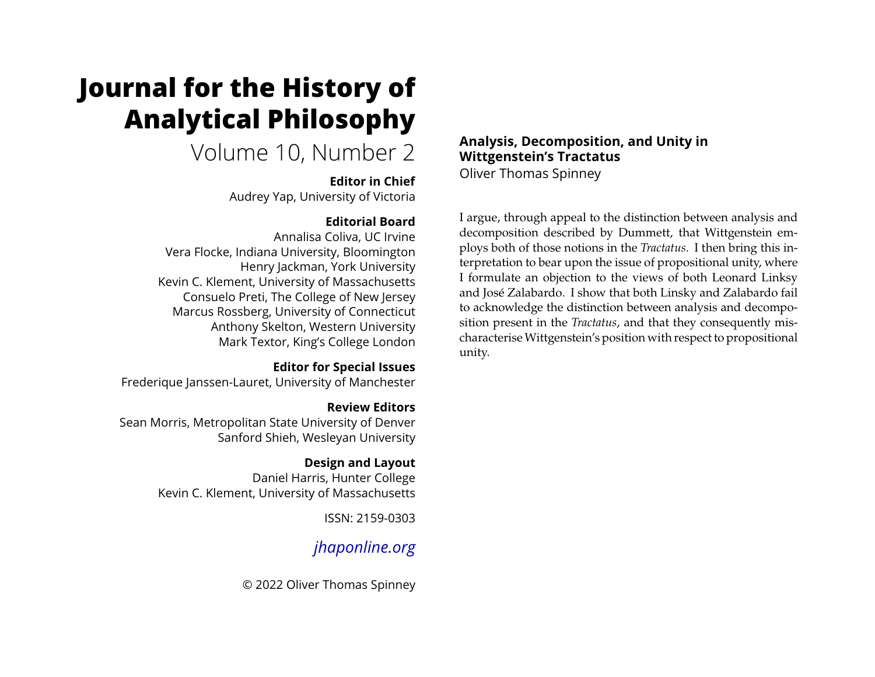# **Journal for the History of Analytical Philosophy**

## Volume 10, Number 2

#### **Editor in Chief**

Audrey Yap, University of Victoria

### **Editorial Board**

Annalisa Coliva, UC Irvine Vera Flocke, Indiana University, Bloomington Henry Jackman, York University Kevin C. Klement, University of Massachusetts Consuelo Preti, The College of New Jersey Marcus Rossberg, University of Connecticut Anthony Skelton, Western University Mark Textor, King's College London

#### **Editor for Special Issues**

Frederique Janssen-Lauret, University of Manchester

#### **Review Editors**

Sean Morris, Metropolitan State University of Denver Sanford Shieh, Wesleyan University

#### **Design and Layout**

Daniel Harris, Hunter College Kevin C. Klement, University of Massachusetts

ISSN: 2159-0303

### *[jhaponline.org](https://jhaponline.org)*

© 2022 Oliver Thomas Spinney

#### **Analysis, Decomposition, and Unity in Wittgenstein's Tractatus** Oliver Thomas Spinney

I argue, through appeal to the distinction between analysis and decomposition described by Dummett, that Wittgenstein employs both of those notions in the *Tractatus*. I then bring this interpretation to bear upon the issue of propositional unity, where I formulate an objection to the views of both Leonard Linksy and José Zalabardo. I show that both Linsky and Zalabardo fail to acknowledge the distinction between analysis and decomposition present in the *Tractatus*, and that they consequently mischaracteriseWittgenstein's position with respect to propositional unity.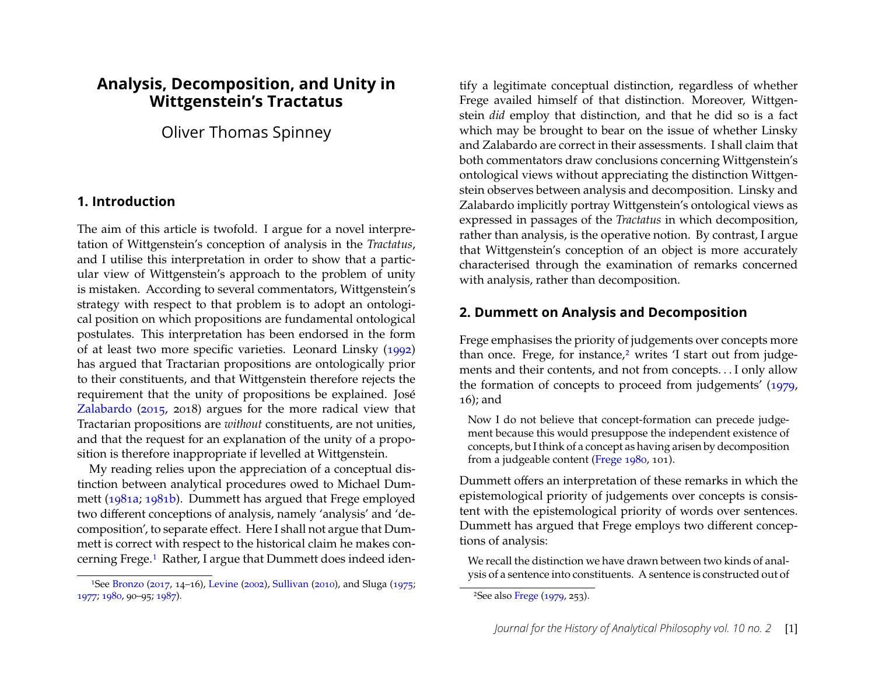#### **Analysis, Decomposition, and Unity in Wittgenstein's Tractatus**

Oliver Thomas Spinney

#### **1. Introduction**

The aim of this article is twofold. I argue for a novel interpretation of Wittgenstein's conception of analysis in the *Tractatus*, and I utilise this interpretation in order to show that a particular view of Wittgenstein's approach to the problem of unity is mistaken. According to several commentators, Wittgenstein's strategy with respect to that problem is to adopt an ontological position on which propositions are fundamental ontological postulates. This interpretation has been endorsed in the form of at least two more speciőc varieties. Leonard Linsky [\(1992\)](#page-22-0) has argued that Tractarian propositions are ontologically prior to their constituents, and that Wittgenstein therefore rejects the requirement that the unity of propositions be explained. José [Zalabardo](#page-24-0) [\(2015,](#page-24-0) 2018) argues for the more radical view that Tractarian propositions are *without* constituents, are not unities, and that the request for an explanation of the unity of a proposition is therefore inappropriate if levelled at Wittgenstein.

My reading relies upon the appreciation of a conceptual distinction between analytical procedures owed to Michael Dummett [\(1981a;](#page-22-1) [1981b\)](#page-22-2). Dummett has argued that Frege employed two different conceptions of analysis, namely 'analysis' and 'decomposition', to separate effect. Here I shall not argue that Dummett is correct with respect to the historical claim he makes concerning Frege.[1](#page-1-0) Rather, I argue that Dummett does indeed identify a legitimate conceptual distinction, regardless of whether Frege availed himself of that distinction. Moreover, Wittgenstein *did* employ that distinction, and that he did so is a fact which may be brought to bear on the issue of whether Linsky and Zalabardo are correct in their assessments. I shall claim that both commentators draw conclusions concerning Wittgenstein's ontological views without appreciating the distinction Wittgenstein observes between analysis and decomposition. Linsky and Zalabardo implicitly portray Wittgenstein's ontological views as expressed in passages of the *Tractatus* in which decomposition, rather than analysis, is the operative notion. By contrast, I argue that Wittgenstein's conception of an object is more accurately characterised through the examination of remarks concerned with analysis, rather than decomposition.

#### <span id="page-1-2"></span>**2. Dummett on Analysis and Decomposition**

Frege emphasises the priority of judgements over concepts more than once. Frege, for instance,<sup>[2](#page-1-1)</sup> writes 'I start out from judgements and their contents, and not from concepts. . . I only allow the formation of concepts to proceed from judgements' [\(1979,](#page-22-5) 16); and

Now I do not believe that concept-formation can precede judgement because this would presuppose the independent existence of concepts, but I think of a concept as having arisen by decomposition from a judgeable content [\(Frege 1980,](#page-22-6) 101).

Dummett offers an interpretation of these remarks in which the epistemological priority of judgements over concepts is consistent with the epistemological priority of words over sentences. Dummett has argued that Frege employs two different conceptions of analysis:

We recall the distinction we have drawn between two kinds of analysis of a sentence into constituents. A sentence is constructed out of

<span id="page-1-0"></span><sup>&</sup>lt;sup>1</sup>See [Bronzo](#page-22-3) [\(2017,](#page-22-3) 14–16), [Levine](#page-22-4) [\(2002\)](#page-22-4), [Sullivan](#page-24-1) [\(2010\)](#page-24-1), and Sluga [\(1975;](#page-24-2) [1977;](#page-24-3) [1980,](#page-24-4) 90-95; [1987\)](#page-24-5).

<span id="page-1-1"></span><sup>2</sup>See also [Frege](#page-22-5) [\(1979,](#page-22-5) 253).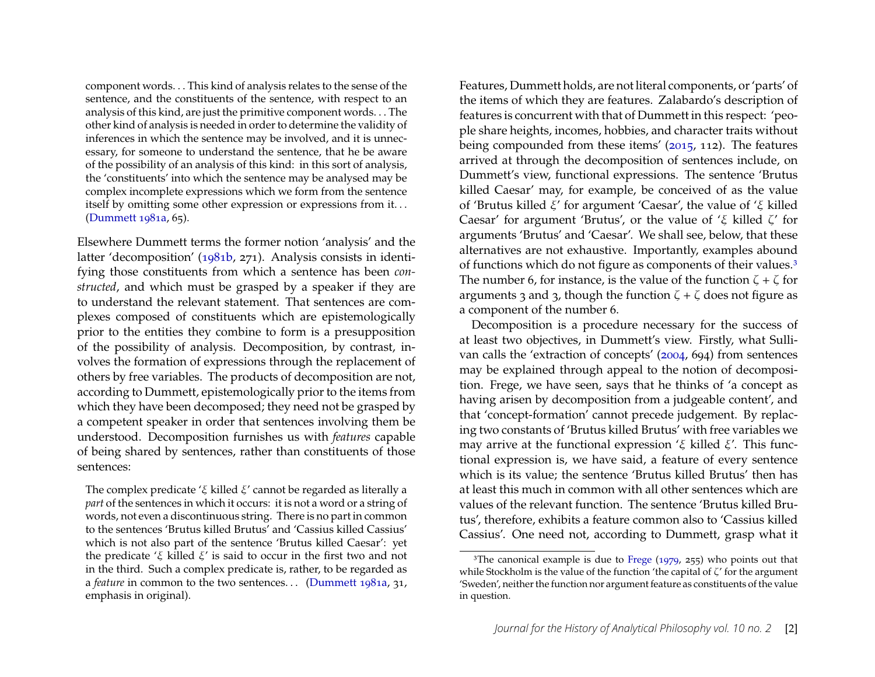component words. . . This kind of analysis relates to the sense of the sentence, and the constituents of the sentence, with respect to an analysis of this kind, are just the primitive component words. . . The other kind of analysis is needed in order to determine the validity of inferences in which the sentence may be involved, and it is unnecessary, for someone to understand the sentence, that he be aware of the possibility of an analysis of this kind: in this sort of analysis, the 'constituents' into which the sentence may be analysed may be complex incomplete expressions which we form from the sentence itself by omitting some other expression or expressions from it. . . [\(Dummett 1981a,](#page-22-1) 65).

Elsewhere Dummett terms the former notion 'analysis' and the latter 'decomposition' [\(1981b,](#page-22-2) 271). Analysis consists in identifying those constituents from which a sentence has been *constructed*, and which must be grasped by a speaker if they are to understand the relevant statement. That sentences are complexes composed of constituents which are epistemologically prior to the entities they combine to form is a presupposition of the possibility of analysis. Decomposition, by contrast, involves the formation of expressions through the replacement of others by free variables. The products of decomposition are not, according to Dummett, epistemologically prior to the items from which they have been decomposed; they need not be grasped by a competent speaker in order that sentences involving them be understood. Decomposition furnishes us with *features* capable of being shared by sentences, rather than constituents of those sentences:

The complex predicate ' $\xi$  killed  $\xi'$  cannot be regarded as literally a *part* of the sentences in which it occurs: it is not a word or a string of words, not even a discontinuous string. There is no part in common to the sentences 'Brutus killed Brutus' and 'Cassius killed Cassius' which is not also part of the sentence 'Brutus killed Caesar': yet the predicate ' $\xi$  killed  $\xi$ ' is said to occur in the first two and not in the third. Such a complex predicate is, rather, to be regarded as a *feature* in common to the two sentences... [\(Dummett 1981a,](#page-22-1) 31, emphasis in original).

Features, Dummett holds, are not literal components, or 'parts' of the items of which they are features. Zalabardo's description of features is concurrent with that of Dummett in this respect: 'people share heights, incomes, hobbies, and character traits without being compounded from these items' [\(2015,](#page-24-0) 112). The features arrived at through the decomposition of sentences include, on Dummett's view, functional expressions. The sentence 'Brutus killed Caesar' may, for example, be conceived of as the value of 'Brutus killed  $\xi$ ' for argument 'Caesar', the value of ' $\xi$  killed Caesar' for argument 'Brutus', or the value of ' $\xi$  killed  $\zeta$ ' for arguments 'Brutus' and 'Caesar'. We shall see, below, that these alternatives are not exhaustive. Importantly, examples abound of functions which do not figure as components of their values.<sup>[3](#page-2-0)</sup> The number 6, for instance, is the value of the function  $\zeta + \zeta$  for arguments 3 and 3, though the function  $\zeta + \zeta$  does not figure as a component of the number 6.

Decomposition is a procedure necessary for the success of at least two objectives, in Dummett's view. Firstly, what Sullivan calls the 'extraction of concepts' [\(2004,](#page-24-6) 694) from sentences may be explained through appeal to the notion of decomposition. Frege, we have seen, says that he thinks of 'a concept as having arisen by decomposition from a judgeable content', and that 'concept-formation' cannot precede judgement. By replacing two constants of 'Brutus killed Brutus' with free variables we may arrive at the functional expression ' $\xi$  killed  $\xi'$ . This functional expression is, we have said, a feature of every sentence which is its value; the sentence 'Brutus killed Brutus' then has at least this much in common with all other sentences which are values of the relevant function. The sentence 'Brutus killed Brutus', therefore, exhibits a feature common also to 'Cassius killed Cassius'. One need not, according to Dummett, grasp what it

<span id="page-2-0"></span><sup>&</sup>lt;sup>3</sup>The canonical example is due to [Frege](#page-22-5) [\(1979,](#page-22-5) 255) who points out that while Stockholm is the value of the function 'the capital of  $\zeta'$  for the argument 'Sweden', neither the function nor argument feature as constituents of the value in question.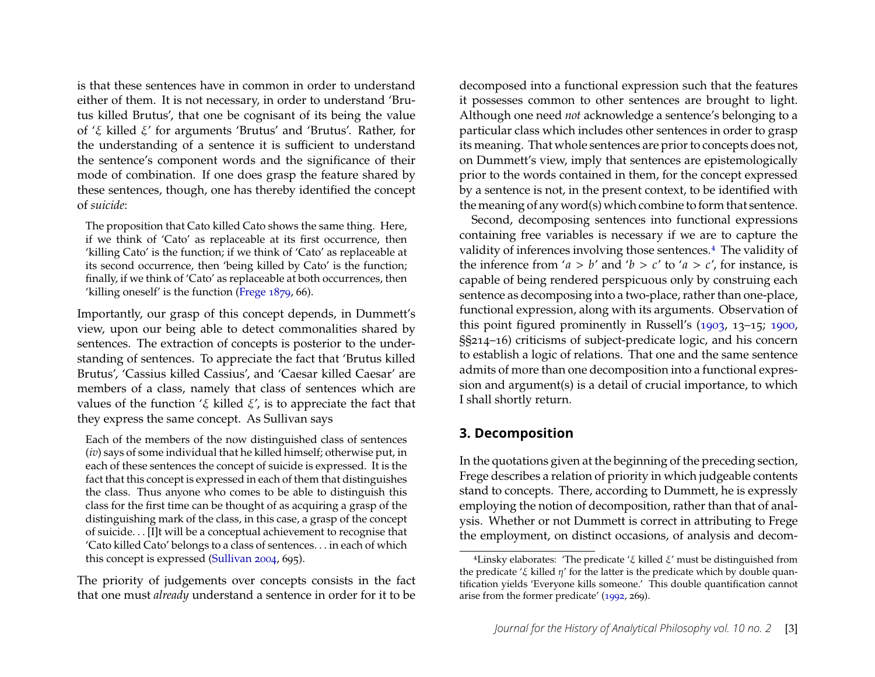is that these sentences have in common in order to understand either of them. It is not necessary, in order to understand 'Brutus killed Brutus', that one be cognisant of its being the value of  $\zeta$  killed  $\xi'$  for arguments 'Brutus' and 'Brutus'. Rather, for the understanding of a sentence it is sufficient to understand the sentence's component words and the significance of their mode of combination. If one does grasp the feature shared by these sentences, though, one has thereby identified the concept of *suicide*:

The proposition that Cato killed Cato shows the same thing. Here, if we think of 'Cato' as replaceable at its first occurrence, then 'killing Cato' is the function; if we think of 'Cato' as replaceable at its second occurrence, then 'being killed by Cato' is the function; finally, if we think of 'Cato' as replaceable at both occurrences, then 'killing oneself' is the function [\(Frege 1879,](#page-22-7) 66).

Importantly, our grasp of this concept depends, in Dummett's view, upon our being able to detect commonalities shared by sentences. The extraction of concepts is posterior to the understanding of sentences. To appreciate the fact that 'Brutus killed Brutus', 'Cassius killed Cassius', and 'Caesar killed Caesar' are members of a class, namely that class of sentences which are values of the function ' $\xi$  killed  $\xi'$ , is to appreciate the fact that they express the same concept. As Sullivan says

Each of the members of the now distinguished class of sentences (*iv*) says of some individual that he killed himself; otherwise put, in each of these sentences the concept of suicide is expressed. It is the fact that this concept is expressed in each of them that distinguishes the class. Thus anyone who comes to be able to distinguish this class for the first time can be thought of as acquiring a grasp of the distinguishing mark of the class, in this case, a grasp of the concept of suicide. . . [I]t will be a conceptual achievement to recognise that 'Cato killed Cato' belongs to a class of sentences. . . in each of which this concept is expressed [\(Sullivan 2004,](#page-24-6) 695).

The priority of judgements over concepts consists in the fact that one must *already* understand a sentence in order for it to be decomposed into a functional expression such that the features it possesses common to other sentences are brought to light. Although one need *not* acknowledge a sentence's belonging to a particular class which includes other sentences in order to grasp its meaning. That whole sentences are prior to concepts does not, on Dummett's view, imply that sentences are epistemologically prior to the words contained in them, for the concept expressed by a sentence is not, in the present context, to be identified with the meaning of any word(s) which combine to form that sentence.

Second, decomposing sentences into functional expressions containing free variables is necessary if we are to capture the validity of inferences involving those sentences.<sup>[4](#page-3-0)</sup> The validity of the inference from 'a > b' and 'b > c' to 'a > c', for instance, is capable of being rendered perspicuous only by construing each sentence as decomposing into a two-place, rather than one-place, functional expression, along with its arguments. Observation of this point figured prominently in Russell's  $(1903, 13-15; 1900,$  $(1903, 13-15; 1900,$  $\S$ §214–16) criticisms of subject-predicate logic, and his concern to establish a logic of relations. That one and the same sentence admits of more than one decomposition into a functional expression and argument(s) is a detail of crucial importance, to which I shall shortly return.

#### **3. Decomposition**

In the quotations given at the beginning of the preceding section, Frege describes a relation of priority in which judgeable contents stand to concepts. There, according to Dummett, he is expressly employing the notion of decomposition, rather than that of analysis. Whether or not Dummett is correct in attributing to Frege the employment, on distinct occasions, of analysis and decom-

<span id="page-3-0"></span><sup>&</sup>lt;sup>4</sup> Linsky elaborates: 'The predicate ' $\xi$  killed  $\xi$ ' must be distinguished from the predicate ' $\xi$  killed  $\eta'$  for the latter is the predicate which by double quantification yields 'Everyone kills someone.' This double quantification cannot arise from the former predicate' [\(1992,](#page-22-0) 269).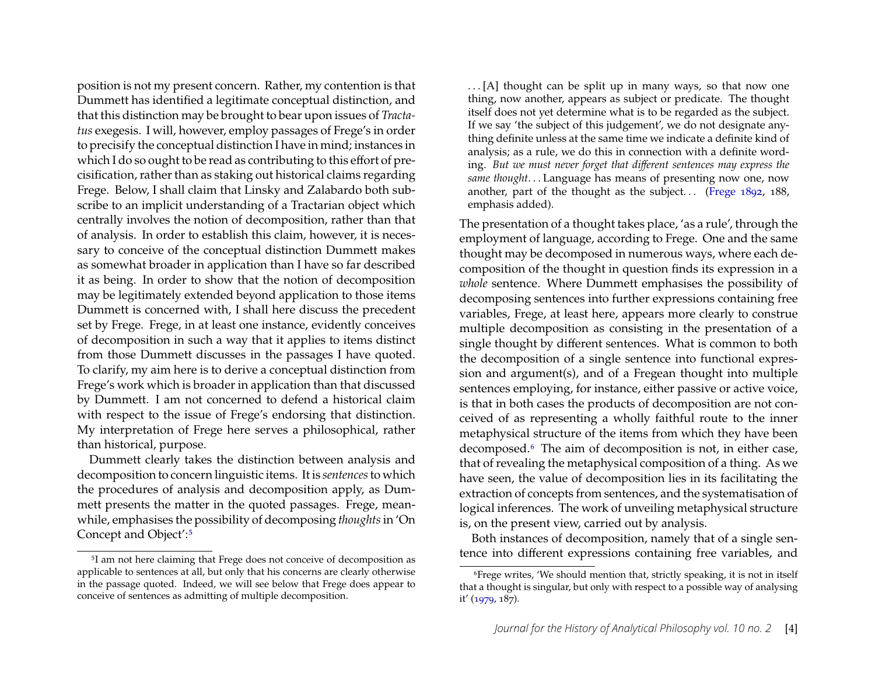position is not my present concern. Rather, my contention is that Dummett has identified a legitimate conceptual distinction, and that this distinction may be brought to bear upon issues of *Tractatus* exegesis. I will, however, employ passages of Frege's in order to precisify the conceptual distinction I have in mind; instances in which I do so ought to be read as contributing to this effort of precisification, rather than as staking out historical claims regarding Frege. Below, I shall claim that Linsky and Zalabardo both subscribe to an implicit understanding of a Tractarian object which centrally involves the notion of decomposition, rather than that of analysis. In order to establish this claim, however, it is necessary to conceive of the conceptual distinction Dummett makes as somewhat broader in application than I have so far described it as being. In order to show that the notion of decomposition may be legitimately extended beyond application to those items Dummett is concerned with, I shall here discuss the precedent set by Frege. Frege, in at least one instance, evidently conceives of decomposition in such a way that it applies to items distinct from those Dummett discusses in the passages I have quoted. To clarify, my aim here is to derive a conceptual distinction from Frege's work which is broader in application than that discussed by Dummett. I am not concerned to defend a historical claim with respect to the issue of Frege's endorsing that distinction. My interpretation of Frege here serves a philosophical, rather than historical, purpose.

Dummett clearly takes the distinction between analysis and decomposition to concern linguistic items. It is *sentences*to which the procedures of analysis and decomposition apply, as Dummett presents the matter in the quoted passages. Frege, meanwhile, emphasises the possibility of decomposing *thoughts*in 'On Concept and Object':[5](#page-4-0)

. . . [A] thought can be split up in many ways, so that now one thing, now another, appears as subject or predicate. The thought itself does not yet determine what is to be regarded as the subject. If we say 'the subject of this judgement', we do not designate anything definite unless at the same time we indicate a definite kind of analysis; as a rule, we do this in connection with a definite wording. *But we must never forget that different sentences may express the same thought*. . . Language has means of presenting now one, now another, part of the thought as the subject... [\(Frege 1892,](#page-22-8) 188, emphasis added).

The presentation of a thought takes place, 'as a rule', through the employment of language, according to Frege. One and the same thought may be decomposed in numerous ways, where each decomposition of the thought in question finds its expression in a *whole* sentence. Where Dummett emphasises the possibility of decomposing sentences into further expressions containing free variables, Frege, at least here, appears more clearly to construe multiple decomposition as consisting in the presentation of a single thought by different sentences. What is common to both the decomposition of a single sentence into functional expression and argument(s), and of a Fregean thought into multiple sentences employing, for instance, either passive or active voice, is that in both cases the products of decomposition are not conceived of as representing a wholly faithful route to the inner metaphysical structure of the items from which they have been decomposed.[6](#page-4-1) The aim of decomposition is not, in either case, that of revealing the metaphysical composition of a thing. As we have seen, the value of decomposition lies in its facilitating the extraction of concepts from sentences, and the systematisation of logical inferences. The work of unveiling metaphysical structure is, on the present view, carried out by analysis.

Both instances of decomposition, namely that of a single sentence into different expressions containing free variables, and

<span id="page-4-0"></span><sup>5</sup>I am not here claiming that Frege does not conceive of decomposition as applicable to sentences at all, but only that his concerns are clearly otherwise in the passage quoted. Indeed, we will see below that Frege does appear to conceive of sentences as admitting of multiple decomposition.

<span id="page-4-1"></span><sup>6</sup>Frege writes, 'We should mention that, strictly speaking, it is not in itself that a thought is singular, but only with respect to a possible way of analysing it' [\(1979,](#page-22-5) 187).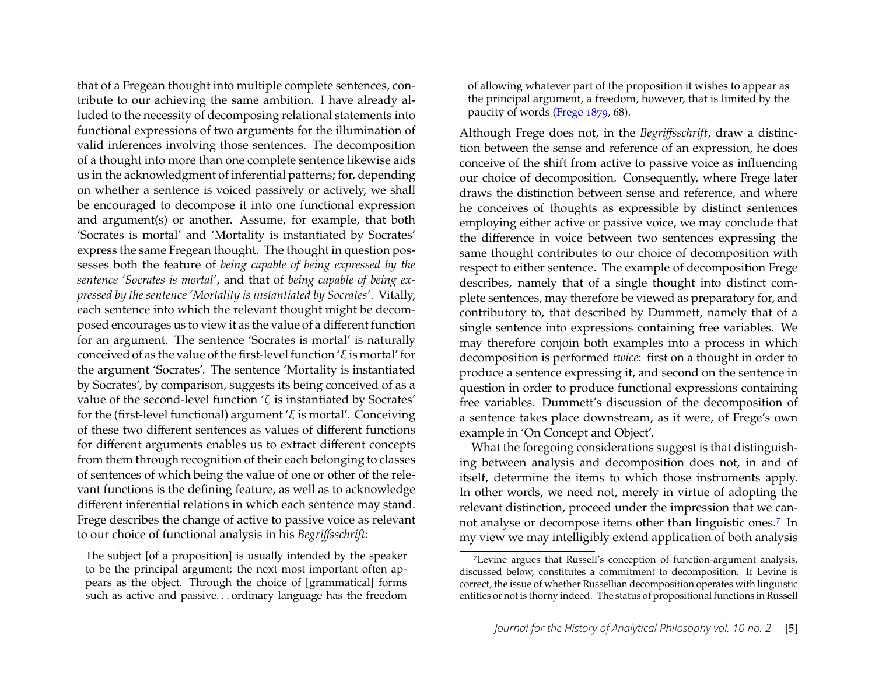that of a Fregean thought into multiple complete sentences, contribute to our achieving the same ambition. I have already alluded to the necessity of decomposing relational statements into functional expressions of two arguments for the illumination of valid inferences involving those sentences. The decomposition of a thought into more than one complete sentence likewise aids us in the acknowledgment of inferential patterns; for, depending on whether a sentence is voiced passively or actively, we shall be encouraged to decompose it into one functional expression and argument(s) or another. Assume, for example, that both 'Socrates is mortal' and 'Mortality is instantiated by Socrates' express the same Fregean thought. The thought in question possesses both the feature of *being capable of being expressed by the sentence 'Socrates is mortal'*, and that of *being capable of being expressed by the sentence 'Mortality is instantiated by Socrates'*. Vitally, each sentence into which the relevant thought might be decomposed encourages us to view it as the value of a different function for an argument. The sentence 'Socrates is mortal' is naturally conceived of as the value of the first-level function ' $\xi$  is mortal' for the argument 'Socrates'. The sentence 'Mortality is instantiated by Socrates', by comparison, suggests its being conceived of as a value of the second-level function  $\zeta$  is instantiated by Socrates' for the (first-level functional) argument ' $\xi$  is mortal'. Conceiving of these two different sentences as values of different functions for different arguments enables us to extract different concepts from them through recognition of their each belonging to classes of sentences of which being the value of one or other of the relevant functions is the defining feature, as well as to acknowledge different inferential relations in which each sentence may stand. Frege describes the change of active to passive voice as relevant to our choice of functional analysis in his *Begriffsschrift*:

The subject [of a proposition] is usually intended by the speaker to be the principal argument; the next most important often appears as the object. Through the choice of [grammatical] forms such as active and passive. . . ordinary language has the freedom of allowing whatever part of the proposition it wishes to appear as the principal argument, a freedom, however, that is limited by the paucity of words [\(Frege 1879,](#page-22-7) 68).

Although Frege does not, in the *Begriffsschrift*, draw a distinction between the sense and reference of an expression, he does conceive of the shift from active to passive voice as influencing our choice of decomposition. Consequently, where Frege later draws the distinction between sense and reference, and where he conceives of thoughts as expressible by distinct sentences employing either active or passive voice, we may conclude that the difference in voice between two sentences expressing the same thought contributes to our choice of decomposition with respect to either sentence. The example of decomposition Frege describes, namely that of a single thought into distinct complete sentences, may therefore be viewed as preparatory for, and contributory to, that described by Dummett, namely that of a single sentence into expressions containing free variables. We may therefore conjoin both examples into a process in which decomposition is performed *twice*: first on a thought in order to produce a sentence expressing it, and second on the sentence in question in order to produce functional expressions containing free variables. Dummett's discussion of the decomposition of a sentence takes place downstream, as it were, of Frege's own example in 'On Concept and Object'.

What the foregoing considerations suggest is that distinguishing between analysis and decomposition does not, in and of itself, determine the items to which those instruments apply. In other words, we need not, merely in virtue of adopting the relevant distinction, proceed under the impression that we cannot analyse or decompose items other than linguistic ones.[7](#page-5-0) In my view we may intelligibly extend application of both analysis

<span id="page-5-0"></span><sup>7</sup>Levine argues that Russell's conception of function-argument analysis, discussed below, constitutes a commitment to decomposition. If Levine is correct, the issue of whether Russellian decomposition operates with linguistic entities or not is thorny indeed. The status of propositional functions in Russell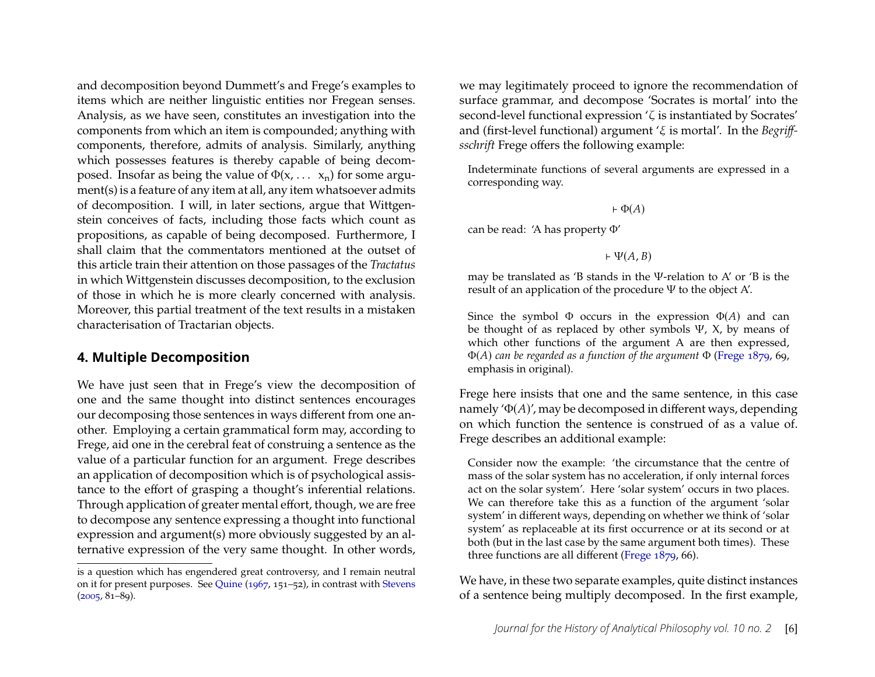and decomposition beyond Dummett's and Frege's examples to items which are neither linguistic entities nor Fregean senses. Analysis, as we have seen, constitutes an investigation into the components from which an item is compounded; anything with components, therefore, admits of analysis. Similarly, anything which possesses features is thereby capable of being decomposed. Insofar as being the value of  $\Phi(x, \ldots, x_n)$  for some argument(s) is a feature of any item at all, any item whatsoever admits of decomposition. I will, in later sections, argue that Wittgenstein conceives of facts, including those facts which count as propositions, as capable of being decomposed. Furthermore, I shall claim that the commentators mentioned at the outset of this article train their attention on those passages of the *Tractatus* in which Wittgenstein discusses decomposition, to the exclusion of those in which he is more clearly concerned with analysis. Moreover, this partial treatment of the text results in a mistaken characterisation of Tractarian objects.

#### **4. Multiple Decomposition**

We have just seen that in Frege's view the decomposition of one and the same thought into distinct sentences encourages our decomposing those sentences in ways different from one another. Employing a certain grammatical form may, according to Frege, aid one in the cerebral feat of construing a sentence as the value of a particular function for an argument. Frege describes an application of decomposition which is of psychological assistance to the effort of grasping a thought's inferential relations. Through application of greater mental effort, though, we are free to decompose any sentence expressing a thought into functional expression and argument(s) more obviously suggested by an alternative expression of the very same thought. In other words, we may legitimately proceed to ignore the recommendation of surface grammar, and decompose 'Socrates is mortal' into the second-level functional expression  $\zeta$  is instantiated by Socrates' and (first-level functional) argument  $\zeta$  is mortal'. In the *Begriffsschrift* Frege offers the following example:

Indeterminate functions of several arguments are expressed in a corresponding way.

 $\vdash \Phi(A)$ 

can be read: 'A has property Φ'

 $\vdash \Psi(A, B)$ 

may be translated as 'B stands in the Ψ-relation to A' or 'B is the result of an application of the procedure Ψ to the object A'.

Since the symbol  $\Phi$  occurs in the expression  $\Phi(A)$  and can be thought of as replaced by other symbols  $\Psi$ , X, by means of which other functions of the argument A are then expressed, Φ() *can be regarded as a function of the argument* Φ [\(Frege 1879,](#page-22-7) 69, emphasis in original).

Frege here insists that one and the same sentence, in this case namely  $\Phi(A)$ , may be decomposed in different ways, depending on which function the sentence is construed of as a value of. Frege describes an additional example:

Consider now the example: 'the circumstance that the centre of mass of the solar system has no acceleration, if only internal forces act on the solar system'. Here 'solar system' occurs in two places. We can therefore take this as a function of the argument 'solar system' in different ways, depending on whether we think of 'solar system' as replaceable at its first occurrence or at its second or at both (but in the last case by the same argument both times). These three functions are all different [\(Frege 1879,](#page-22-7) 66).

We have, in these two separate examples, quite distinct instances of a sentence being multiply decomposed. In the first example,

is a question which has engendered great controversy, and I remain neutral on it for present purposes. See [Quine](#page-23-2)  $(1967, 151 - 52)$  $(1967, 151 - 52)$ , in contrast with [Stevens](#page-24-7)  $(2005, 81-89)$  $(2005, 81-89)$ .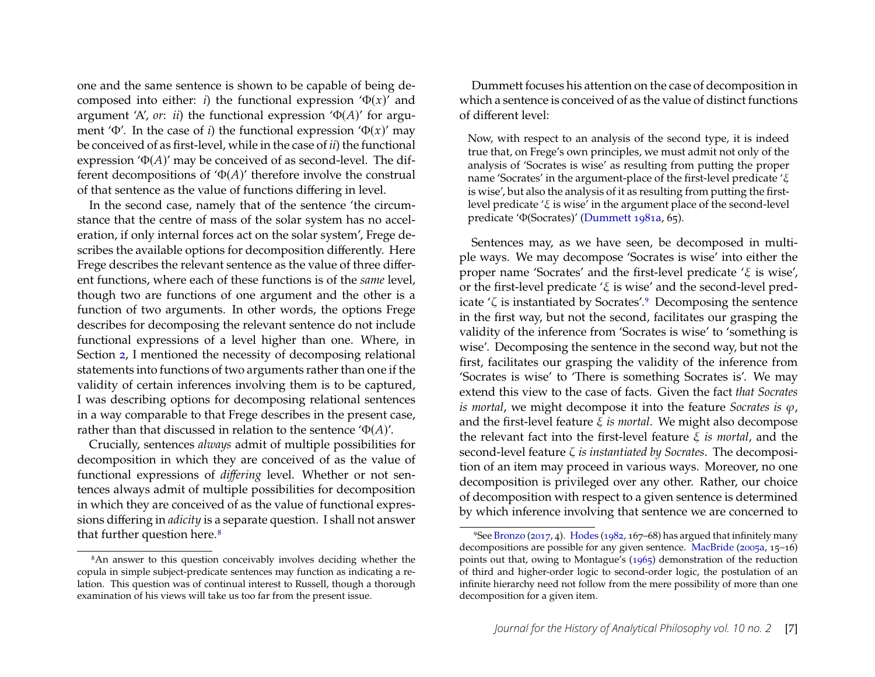one and the same sentence is shown to be capable of being decomposed into either: *i*) the functional expression  $\Phi(x)$  and argument 'A',  $or: ii$ ) the functional expression ' $\Phi(A)$ ' for argument ' $\Phi'$ . In the case of *i*) the functional expression ' $\Phi(x)$ ' may be conceived of as őrst-level, while in the case of *ii*) the functional expression ' $\Phi(A)$ ' may be conceived of as second-level. The different decompositions of ' $\Phi(A)$ ' therefore involve the construal of that sentence as the value of functions differing in level.

In the second case, namely that of the sentence 'the circumstance that the centre of mass of the solar system has no acceleration, if only internal forces act on the solar system', Frege describes the available options for decomposition differently. Here Frege describes the relevant sentence as the value of three different functions, where each of these functions is of the *same* level, though two are functions of one argument and the other is a function of two arguments. In other words, the options Frege describes for decomposing the relevant sentence do not include functional expressions of a level higher than one. Where, in Section [2,](#page-1-2) I mentioned the necessity of decomposing relational statements into functions of two arguments rather than one if the validity of certain inferences involving them is to be captured, I was describing options for decomposing relational sentences in a way comparable to that Frege describes in the present case, rather than that discussed in relation to the sentence  $\Phi(A)$ .

Crucially, sentences *always* admit of multiple possibilities for decomposition in which they are conceived of as the value of functional expressions of *differing* level. Whether or not sentences always admit of multiple possibilities for decomposition in which they are conceived of as the value of functional expressions differing in *adicity* is a separate question. I shall not answer that further question here.<sup>[8](#page-7-0)</sup>

Dummett focuses his attention on the case of decomposition in which a sentence is conceived of as the value of distinct functions of different level:

Now, with respect to an analysis of the second type, it is indeed true that, on Frege's own principles, we must admit not only of the analysis of 'Socrates is wise' as resulting from putting the proper name 'Socrates' in the argument-place of the first-level predicate ' $\xi$ is wise', but also the analysis of it as resulting from putting the firstlevel predicate  $\zeta$  is wise' in the argument place of the second-level predicate 'Φ(Socrates)' [\(Dummett 1981a,](#page-22-1) 65).

Sentences may, as we have seen, be decomposed in multiple ways. We may decompose 'Socrates is wise' into either the proper name 'Socrates' and the first-level predicate ' $\xi$  is wise', or the first-level predicate ' $\xi$  is wise' and the second-level predicate  $\zeta$  is instantiated by Socrates'.<sup>[9](#page-7-1)</sup> Decomposing the sentence in the first way, but not the second, facilitates our grasping the validity of the inference from 'Socrates is wise' to 'something is wise'. Decomposing the sentence in the second way, but not the first, facilitates our grasping the validity of the inference from 'Socrates is wise' to 'There is something Socrates is'. We may extend this view to the case of facts. Given the fact *that Socrates is mortal*, we might decompose it into the feature *Socrates* is  $\varphi$ , and the first-level feature  $\xi$  is mortal. We might also decompose the relevant fact into the first-level feature  $\xi$  *is mortal*, and the second-level feature *is instantiated by Socrates*. The decomposition of an item may proceed in various ways. Moreover, no one decomposition is privileged over any other. Rather, our choice of decomposition with respect to a given sentence is determined by which inference involving that sentence we are concerned to

<span id="page-7-0"></span><sup>8</sup>An answer to this question conceivably involves deciding whether the copula in simple subject-predicate sentences may function as indicating a relation. This question was of continual interest to Russell, though a thorough examination of his views will take us too far from the present issue.

<span id="page-7-1"></span><sup>&</sup>lt;sup>9</sup>See [Bronzo](#page-22-3) [\(2017,](#page-22-3) 4). [Hodes](#page-22-9) [\(1982,](#page-22-9) 167–68) has argued that infinitely many decompositions are possible for any given sentence. [MacBride](#page-23-3) ( $2005a$ ,  $15–16$ ) points out that, owing to Montague's [\(1965\)](#page-23-4) demonstration of the reduction of third and higher-order logic to second-order logic, the postulation of an infinite hierarchy need not follow from the mere possibility of more than one decomposition for a given item.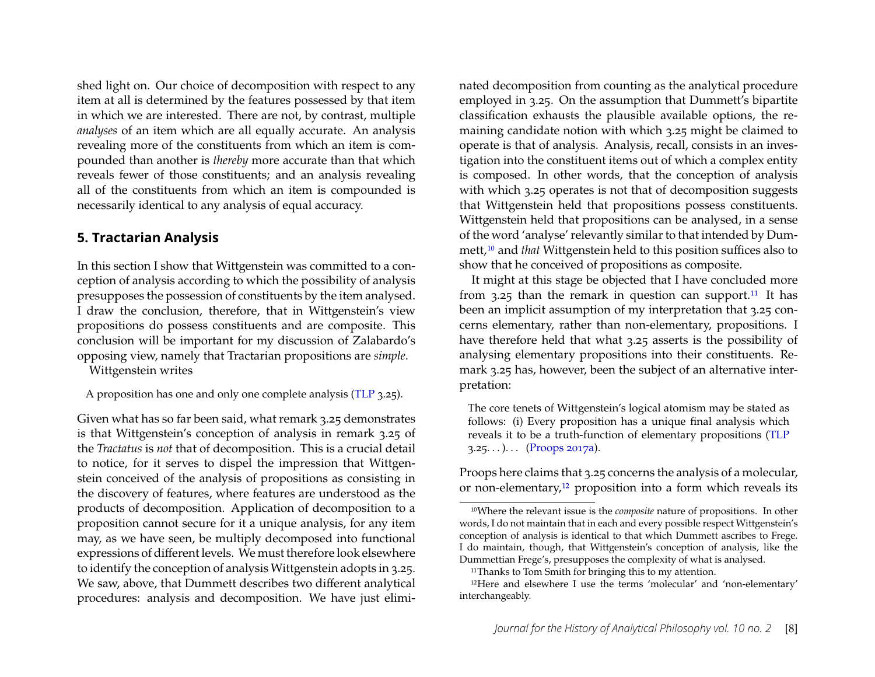shed light on. Our choice of decomposition with respect to any item at all is determined by the features possessed by that item in which we are interested. There are not, by contrast, multiple *analyses* of an item which are all equally accurate. An analysis revealing more of the constituents from which an item is compounded than another is *thereby* more accurate than that which reveals fewer of those constituents; and an analysis revealing all of the constituents from which an item is compounded is necessarily identical to any analysis of equal accuracy.

#### **5. Tractarian Analysis**

In this section I show that Wittgenstein was committed to a conception of analysis according to which the possibility of analysis presupposes the possession of constituents by the item analysed. I draw the conclusion, therefore, that in Wittgenstein's view propositions do possess constituents and are composite. This conclusion will be important for my discussion of Zalabardo's opposing view, namely that Tractarian propositions are *simple*.

Wittgenstein writes

A proposition has one and only one complete analysis [\(TLP](#page-24-8) 3.25).

Given what has so far been said, what remark 3.25 demonstrates is that Wittgenstein's conception of analysis in remark 3.25 of the *Tractatus* is *not* that of decomposition. This is a crucial detail to notice, for it serves to dispel the impression that Wittgenstein conceived of the analysis of propositions as consisting in the discovery of features, where features are understood as the products of decomposition. Application of decomposition to a proposition cannot secure for it a unique analysis, for any item may, as we have seen, be multiply decomposed into functional expressions of different levels. We must therefore look elsewhere to identify the conception of analysis Wittgenstein adopts in 3.25. We saw, above, that Dummett describes two different analytical procedures: analysis and decomposition. We have just eliminated decomposition from counting as the analytical procedure employed in 3.25. On the assumption that Dummett's bipartite classification exhausts the plausible available options, the remaining candidate notion with which 3.25 might be claimed to operate is that of analysis. Analysis, recall, consists in an investigation into the constituent items out of which a complex entity is composed. In other words, that the conception of analysis with which 3.25 operates is not that of decomposition suggests that Wittgenstein held that propositions possess constituents. Wittgenstein held that propositions can be analysed, in a sense of the word 'analyse' relevantly similar to that intended by Dummett,[10](#page-8-0) and *that* Wittgenstein held to this position suffices also to show that he conceived of propositions as composite.

It might at this stage be objected that I have concluded more from  $3.25$  than the remark in question can support.<sup>[11](#page-8-1)</sup> It has been an implicit assumption of my interpretation that 3.25 concerns elementary, rather than non-elementary, propositions. I have therefore held that what 3.25 asserts is the possibility of analysing elementary propositions into their constituents. Remark 3.25 has, however, been the subject of an alternative interpretation:

The core tenets of Wittgenstein's logical atomism may be stated as follows: (i) Every proposition has a unique final analysis which reveals it to be a truth-function of elementary propositions [\(TLP](#page-24-8)  $3.25...$ )... [\(Proops 2017a\)](#page-23-5).

Proops here claims that 3.25 concerns the analysis of a molecular, or non-elementary,<sup>[12](#page-8-2)</sup> proposition into a form which reveals its

<span id="page-8-0"></span><sup>10</sup>Where the relevant issue is the *composite* nature of propositions. In other words, I do not maintain that in each and every possible respect Wittgenstein's conception of analysis is identical to that which Dummett ascribes to Frege. I do maintain, though, that Wittgenstein's conception of analysis, like the Dummettian Frege's, presupposes the complexity of what is analysed.

<span id="page-8-2"></span><span id="page-8-1"></span><sup>&</sup>lt;sup>11</sup>Thanks to Tom Smith for bringing this to my attention.

<sup>&</sup>lt;sup>12</sup>Here and elsewhere I use the terms 'molecular' and 'non-elementary' interchangeably.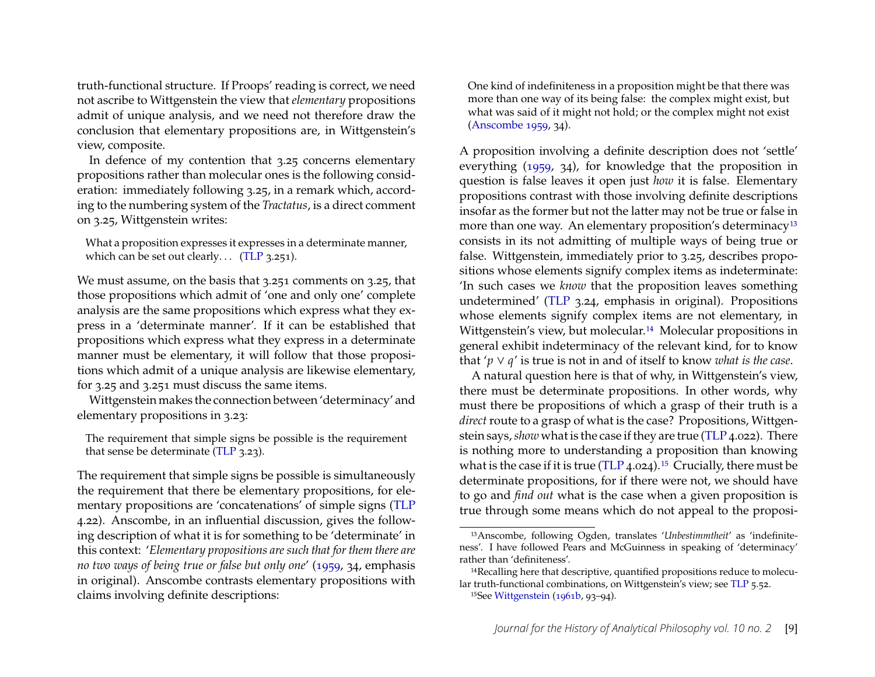truth-functional structure. If Proops' reading is correct, we need not ascribe to Wittgenstein the view that *elementary* propositions admit of unique analysis, and we need not therefore draw the conclusion that elementary propositions are, in Wittgenstein's view, composite.

In defence of my contention that 3.25 concerns elementary propositions rather than molecular ones is the following consideration: immediately following 3.25, in a remark which, according to the numbering system of the *Tractatus*, is a direct comment on 3.25, Wittgenstein writes:

What a proposition expresses it expresses in a determinate manner, which can be set out clearly... [\(TLP](#page-24-8) 3.251).

We must assume, on the basis that 3.251 comments on 3.25, that those propositions which admit of 'one and only one' complete analysis are the same propositions which express what they express in a 'determinate manner'. If it can be established that propositions which express what they express in a determinate manner must be elementary, it will follow that those propositions which admit of a unique analysis are likewise elementary, for 3.25 and 3.251 must discuss the same items.

Wittgenstein makes the connection between 'determinacy' and elementary propositions in 3.23:

The requirement that simple signs be possible is the requirement that sense be determinate [\(TLP](#page-24-8) 3.23).

The requirement that simple signs be possible is simultaneously the requirement that there be elementary propositions, for elementary propositions are 'concatenations' of simple signs [\(TLP](#page-24-8) 4.22). Anscombe, in an influential discussion, gives the following description of what it is for something to be 'determinate' in this context: '*Elementary propositions are such that for them there are no two ways of being true or false but only one*' [\(1959,](#page-22-10) 34, emphasis in original). Anscombe contrasts elementary propositions with claims involving definite descriptions:

One kind of indefiniteness in a proposition might be that there was more than one way of its being false: the complex might exist, but what was said of it might not hold; or the complex might not exist [\(Anscombe 1959,](#page-22-10) 34).

A proposition involving a definite description does not 'settle' everything [\(1959,](#page-22-10) 34), for knowledge that the proposition in question is false leaves it open just *how* it is false. Elementary propositions contrast with those involving definite descriptions insofar as the former but not the latter may not be true or false in more than one way. An elementary proposition's determinacy<sup>[13](#page-9-0)</sup> consists in its not admitting of multiple ways of being true or false. Wittgenstein, immediately prior to 3.25, describes propositions whose elements signify complex items as indeterminate: 'In such cases we *know* that the proposition leaves something undetermined' [\(TLP](#page-24-8) 3.24, emphasis in original). Propositions whose elements signify complex items are not elementary, in Wittgenstein's view, but molecular.<sup>[14](#page-9-1)</sup> Molecular propositions in general exhibit indeterminacy of the relevant kind, for to know that ' $p \vee q$ ' is true is not in and of itself to know *what is the case*.

A natural question here is that of why, in Wittgenstein's view, there must be determinate propositions. In other words, why must there be propositions of which a grasp of their truth is a *direct* route to a grasp of what is the case? Propositions, Wittgenstein says,*show* what is the case if they are true [\(TLP](#page-24-8) 4.022). There is nothing more to understanding a proposition than knowing what is the case if it is true [\(TLP](#page-24-8)  $4.024$ ).<sup>[15](#page-9-2)</sup> Crucially, there must be determinate propositions, for if there were not, we should have to go and *őnd out* what is the case when a given proposition is true through some means which do not appeal to the proposi-

<span id="page-9-0"></span><sup>&</sup>lt;sup>13</sup>Anscombe, following Ogden, translates '*Unbestimmtheit'* as 'indefiniteness'. I have followed Pears and McGuinness in speaking of 'determinacy' rather than 'definiteness'.

<span id="page-9-1"></span><sup>&</sup>lt;sup>14</sup>Recalling here that descriptive, quantified propositions reduce to molecu-lar truth-functional combinations, on Wittgenstein's view; see [TLP](#page-24-8) 5.52.

<span id="page-9-2"></span> $15$ See [Wittgenstein](#page-24-9) [\(1961b,](#page-24-9) 93–94).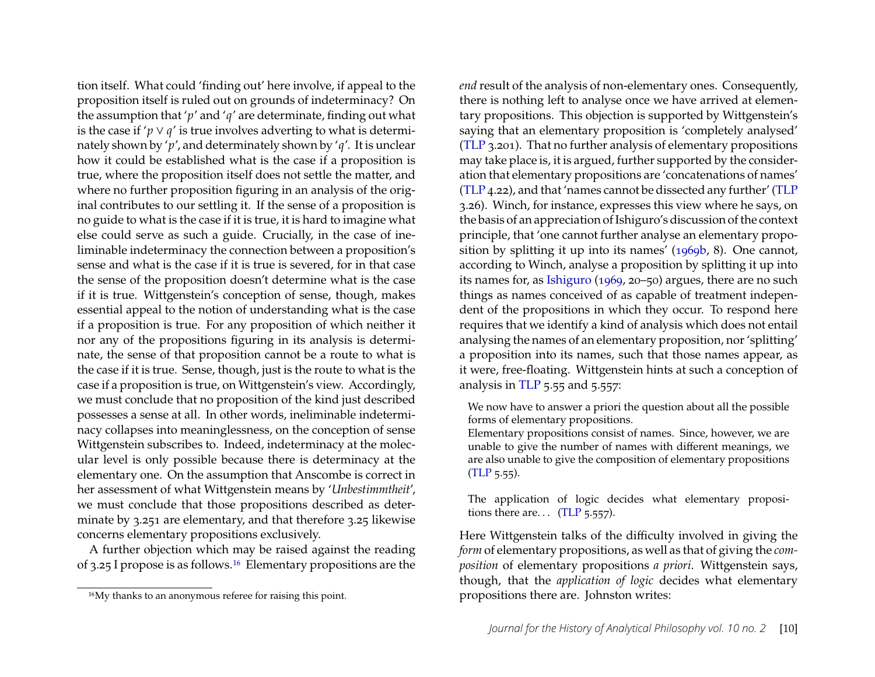tion itself. What could 'finding out' here involve, if appeal to the proposition itself is ruled out on grounds of indeterminacy? On the assumption that 'p' and 'q' are determinate, finding out what is the case if ' $p \vee q$ ' is true involves adverting to what is determinately shown by 'p', and determinately shown by 'q'. It is unclear how it could be established what is the case if a proposition is true, where the proposition itself does not settle the matter, and where no further proposition figuring in an analysis of the original contributes to our settling it. If the sense of a proposition is no guide to what is the case if it is true, it is hard to imagine what else could serve as such a guide. Crucially, in the case of ineliminable indeterminacy the connection between a proposition's sense and what is the case if it is true is severed, for in that case the sense of the proposition doesn't determine what is the case if it is true. Wittgenstein's conception of sense, though, makes essential appeal to the notion of understanding what is the case if a proposition is true. For any proposition of which neither it nor any of the propositions figuring in its analysis is determinate, the sense of that proposition cannot be a route to what is the case if it is true. Sense, though, just is the route to what is the case if a proposition is true, on Wittgenstein's view. Accordingly, we must conclude that no proposition of the kind just described possesses a sense at all. In other words, ineliminable indeterminacy collapses into meaninglessness, on the conception of sense Wittgenstein subscribes to. Indeed, indeterminacy at the molecular level is only possible because there is determinacy at the elementary one. On the assumption that Anscombe is correct in her assessment of what Wittgenstein means by '*Unbestimmtheit*', we must conclude that those propositions described as determinate by 3.251 are elementary, and that therefore 3.25 likewise concerns elementary propositions exclusively.

A further objection which may be raised against the reading of 3.25 I propose is as follows.[16](#page-10-0) Elementary propositions are the

*end* result of the analysis of non-elementary ones. Consequently, there is nothing left to analyse once we have arrived at elementary propositions. This objection is supported by Wittgenstein's saying that an elementary proposition is 'completely analysed' [\(TLP](#page-24-8) 3.201). That no further analysis of elementary propositions may take place is, it is argued, further supported by the consideration that elementary propositions are 'concatenations of names' [\(TLP](#page-24-8) 4.22), and that 'names cannot be dissected any further' [\(TLP](#page-24-8) 3.26). Winch, for instance, expresses this view where he says, on the basis of an appreciation of Ishiguro's discussion of the context principle, that 'one cannot further analyse an elementary proposition by splitting it up into its names' [\(1969b,](#page-24-10) 8). One cannot, according to Winch, analyse a proposition by splitting it up into its names for, as [Ishiguro](#page-22-11)  $(1969, 20–50)$  $(1969, 20–50)$  argues, there are no such things as names conceived of as capable of treatment independent of the propositions in which they occur. To respond here requires that we identify a kind of analysis which does not entail analysing the names of an elementary proposition, nor 'splitting' a proposition into its names, such that those names appear, as it were, free-floating. Wittgenstein hints at such a conception of analysis in [TLP](#page-24-8) 5.55 and 5.557:

We now have to answer a priori the question about all the possible forms of elementary propositions.

Elementary propositions consist of names. Since, however, we are unable to give the number of names with different meanings, we are also unable to give the composition of elementary propositions [\(TLP](#page-24-8) 5.55).

The application of logic decides what elementary propositions there are...  $(TLP 5.557)$ .

Here Wittgenstein talks of the difficulty involved in giving the *form* of elementary propositions, as well as that of giving the *composition* of elementary propositions *a priori*. Wittgenstein says, though, that the *application of logic* decides what elementary propositions there are. Johnston writes:

<span id="page-10-0"></span><sup>16</sup>My thanks to an anonymous referee for raising this point.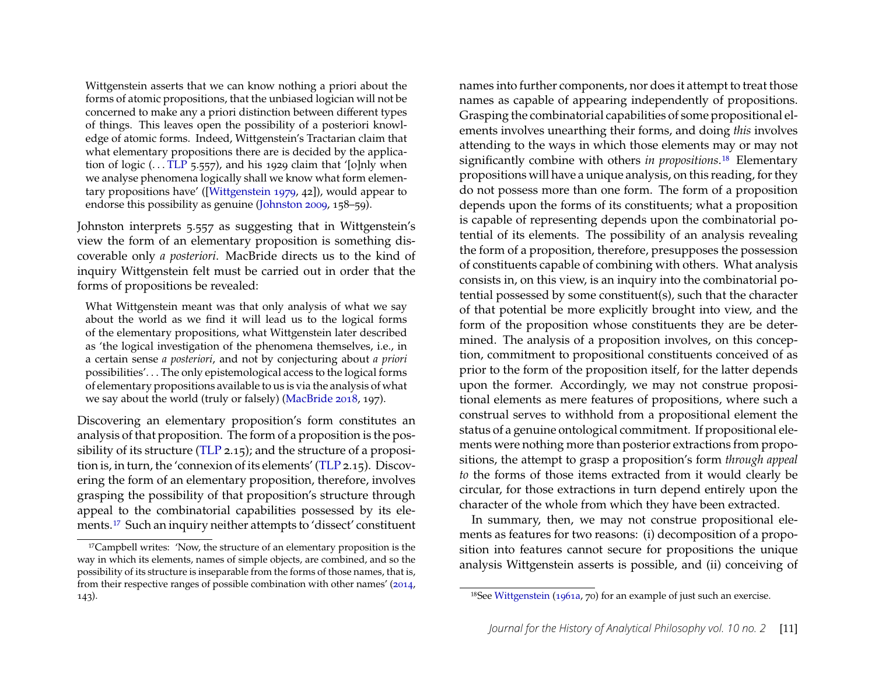Wittgenstein asserts that we can know nothing a priori about the forms of atomic propositions, that the unbiased logician will not be concerned to make any a priori distinction between different types of things. This leaves open the possibility of a posteriori knowledge of atomic forms. Indeed, Wittgenstein's Tractarian claim that what elementary propositions there are is decided by the application of logic ( $\ldots$  [TLP](#page-24-8) 5.557), and his 1929 claim that '[o]nly when we analyse phenomena logically shall we know what form elementary propositions have' ([\[Wittgenstein 1979,](#page-24-11) 42]), would appear to endorse this possibility as genuine [\(Johnston 2009,](#page-22-12) 158–59).

Johnston interprets 5.557 as suggesting that in Wittgenstein's view the form of an elementary proposition is something discoverable only *a posteriori*. MacBride directs us to the kind of inquiry Wittgenstein felt must be carried out in order that the forms of propositions be revealed:

What Wittgenstein meant was that only analysis of what we say about the world as we find it will lead us to the logical forms of the elementary propositions, what Wittgenstein later described as 'the logical investigation of the phenomena themselves, i.e., in a certain sense *a posteriori*, and not by conjecturing about *a priori* possibilities'. . . The only epistemological access to the logical forms of elementary propositions available to us is via the analysis of what we say about the world (truly or falsely) [\(MacBride 2018,](#page-23-6) 197).

Discovering an elementary proposition's form constitutes an analysis of that proposition. The form of a proposition is the possibility of its structure [\(TLP](#page-24-8) 2.15); and the structure of a proposition is, in turn, the 'connexion of its elements' [\(TLP](#page-24-8) 2.15). Discovering the form of an elementary proposition, therefore, involves grasping the possibility of that proposition's structure through appeal to the combinatorial capabilities possessed by its elements.[17](#page-11-0) Such an inquiry neither attempts to 'dissect' constituent names into further components, nor does it attempt to treat those names as capable of appearing independently of propositions. Grasping the combinatorial capabilities of some propositional elements involves unearthing their forms, and doing *this* involves attending to the ways in which those elements may or may not significantly combine with others *in propositions*.<sup>[18](#page-11-1)</sup> Elementary propositions will have a unique analysis, on this reading, for they do not possess more than one form. The form of a proposition depends upon the forms of its constituents; what a proposition is capable of representing depends upon the combinatorial potential of its elements. The possibility of an analysis revealing the form of a proposition, therefore, presupposes the possession of constituents capable of combining with others. What analysis consists in, on this view, is an inquiry into the combinatorial potential possessed by some constituent(s), such that the character of that potential be more explicitly brought into view, and the form of the proposition whose constituents they are be determined. The analysis of a proposition involves, on this conception, commitment to propositional constituents conceived of as prior to the form of the proposition itself, for the latter depends upon the former. Accordingly, we may not construe propositional elements as mere features of propositions, where such a construal serves to withhold from a propositional element the status of a genuine ontological commitment. If propositional elements were nothing more than posterior extractions from propositions, the attempt to grasp a proposition's form *through appeal to* the forms of those items extracted from it would clearly be circular, for those extractions in turn depend entirely upon the character of the whole from which they have been extracted.

In summary, then, we may not construe propositional elements as features for two reasons: (i) decomposition of a proposition into features cannot secure for propositions the unique analysis Wittgenstein asserts is possible, and (ii) conceiving of

<span id="page-11-0"></span><sup>&</sup>lt;sup>17</sup>Campbell writes: 'Now, the structure of an elementary proposition is the way in which its elements, names of simple objects, are combined, and so the possibility of its structure is inseparable from the forms of those names, that is, from their respective ranges of possible combination with other names' [\(2014,](#page-22-13) 143).

<span id="page-11-1"></span><sup>18</sup>See [Wittgenstein](#page-24-12) [\(1961a,](#page-24-12) 70) for an example of just such an exercise.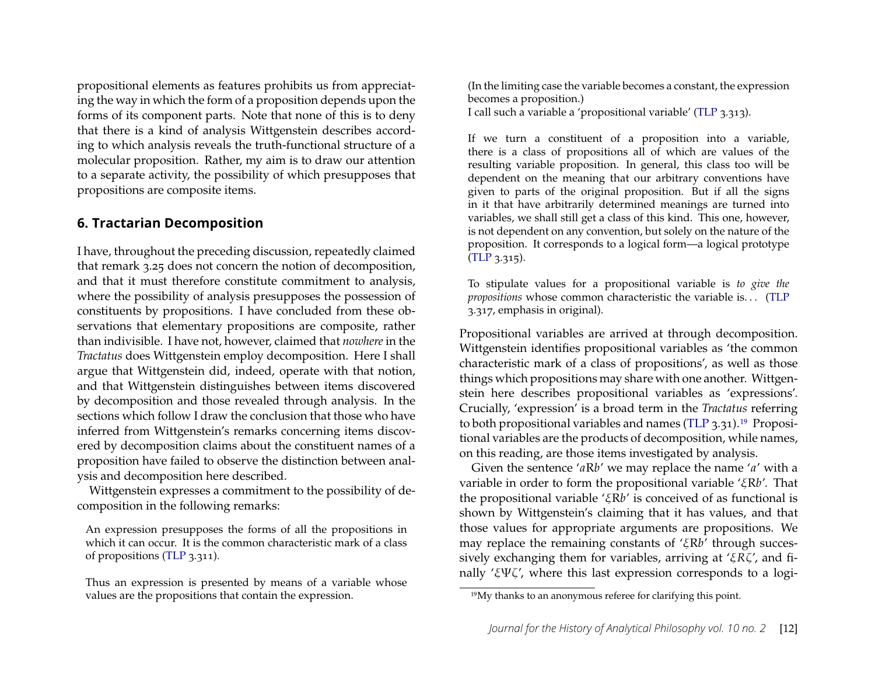propositional elements as features prohibits us from appreciating the way in which the form of a proposition depends upon the forms of its component parts. Note that none of this is to deny that there is a kind of analysis Wittgenstein describes according to which analysis reveals the truth-functional structure of a molecular proposition. Rather, my aim is to draw our attention to a separate activity, the possibility of which presupposes that propositions are composite items.

#### **6. Tractarian Decomposition**

I have, throughout the preceding discussion, repeatedly claimed that remark 3.25 does not concern the notion of decomposition, and that it must therefore constitute commitment to analysis, where the possibility of analysis presupposes the possession of constituents by propositions. I have concluded from these observations that elementary propositions are composite, rather than indivisible. I have not, however, claimed that *nowhere* in the *Tractatus* does Wittgenstein employ decomposition. Here I shall argue that Wittgenstein did, indeed, operate with that notion, and that Wittgenstein distinguishes between items discovered by decomposition and those revealed through analysis. In the sections which follow I draw the conclusion that those who have inferred from Wittgenstein's remarks concerning items discovered by decomposition claims about the constituent names of a proposition have failed to observe the distinction between analysis and decomposition here described.

Wittgenstein expresses a commitment to the possibility of decomposition in the following remarks:

An expression presupposes the forms of all the propositions in which it can occur. It is the common characteristic mark of a class of propositions [\(TLP](#page-24-8) 3.311).

Thus an expression is presented by means of a variable whose values are the propositions that contain the expression.

(In the limiting case the variable becomes a constant, the expression becomes a proposition.) I call such a variable a 'propositional variable' [\(TLP](#page-24-8) 3.313).

If we turn a constituent of a proposition into a variable, there is a class of propositions all of which are values of the resulting variable proposition. In general, this class too will be dependent on the meaning that our arbitrary conventions have given to parts of the original proposition. But if all the signs in it that have arbitrarily determined meanings are turned into variables, we shall still get a class of this kind. This one, however, is not dependent on any convention, but solely on the nature of the proposition. It corresponds to a logical form—a logical prototype [\(TLP](#page-24-8) 3.315).

To stipulate values for a propositional variable is *to give the propositions* whose common characteristic the variable is. . . [\(TLP](#page-24-8) 3.317, emphasis in original).

Propositional variables are arrived at through decomposition. Wittgenstein identifies propositional variables as 'the common characteristic mark of a class of propositions', as well as those things which propositions may share with one another. Wittgenstein here describes propositional variables as 'expressions'. Crucially, 'expression' is a broad term in the *Tractatus* referring to both propositional variables and names [\(TLP](#page-24-8) 3.31).[19](#page-12-0) Propositional variables are the products of decomposition, while names, on this reading, are those items investigated by analysis.

Given the sentence 'aRb' we may replace the name 'a' with a variable in order to form the propositional variable ' $\zeta Rb'$ . That the propositional variable ' $\zeta Rb'$  is conceived of as functional is shown by Wittgenstein's claiming that it has values, and that those values for appropriate arguments are propositions. We may replace the remaining constants of ' $\zeta Rb'$  through successively exchanging them for variables, arriving at ' $\zeta R\zeta'$ , and finally 'ξΨζ', where this last expression corresponds to a logi-

<span id="page-12-0"></span><sup>19</sup>My thanks to an anonymous referee for clarifying this point.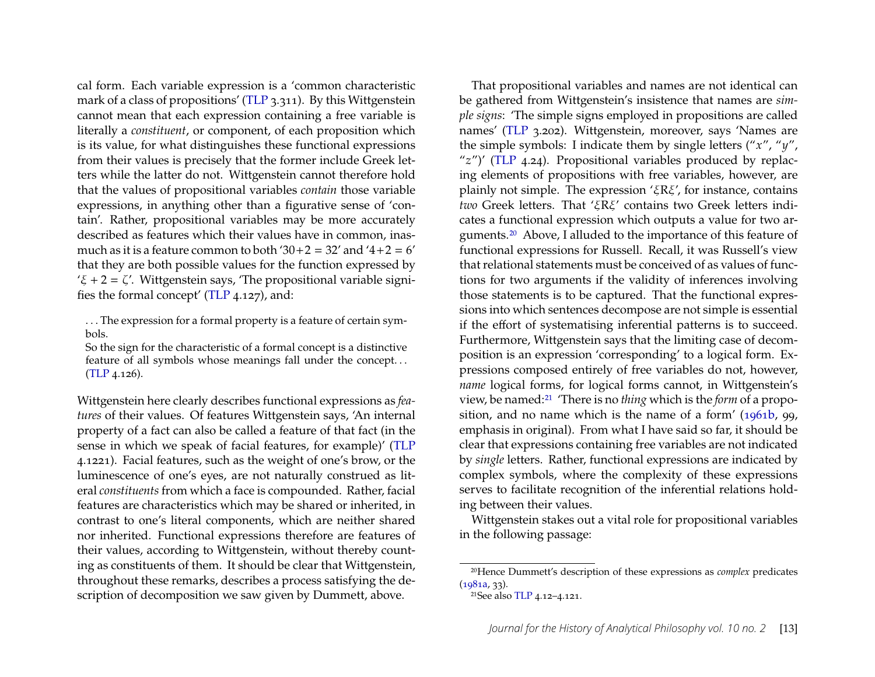cal form. Each variable expression is a 'common characteristic mark of a class of propositions' [\(TLP](#page-24-8) 3.311). By this Wittgenstein cannot mean that each expression containing a free variable is literally a *constituent*, or component, of each proposition which is its value, for what distinguishes these functional expressions from their values is precisely that the former include Greek letters while the latter do not. Wittgenstein cannot therefore hold that the values of propositional variables *contain* those variable expressions, in anything other than a figurative sense of 'contain'. Rather, propositional variables may be more accurately described as features which their values have in common, inasmuch as it is a feature common to both  $30+2 = 32'$  and  $4+2 = 6'$ that they are both possible values for the function expressed by ' $\xi$  + 2 =  $\zeta$ '. Wittgenstein says, 'The propositional variable signi-fies the formal concept' [\(TLP](#page-24-8)  $4.127$ ), and:

. . . The expression for a formal property is a feature of certain symbols.

So the sign for the characteristic of a formal concept is a distinctive feature of all symbols whose meanings fall under the concept. . . [\(TLP](#page-24-8) 4.126).

Wittgenstein here clearly describes functional expressions as *features* of their values. Of features Wittgenstein says, 'An internal property of a fact can also be called a feature of that fact (in the sense in which we speak of facial features, for example)' [\(TLP](#page-24-8) 4.1221). Facial features, such as the weight of one's brow, or the luminescence of one's eyes, are not naturally construed as literal *constituents* from which a face is compounded. Rather, facial features are characteristics which may be shared or inherited, in contrast to one's literal components, which are neither shared nor inherited. Functional expressions therefore are features of their values, according to Wittgenstein, without thereby counting as constituents of them. It should be clear that Wittgenstein, throughout these remarks, describes a process satisfying the description of decomposition we saw given by Dummett, above.

That propositional variables and names are not identical can be gathered from Wittgenstein's insistence that names are *simple signs*: 'The simple signs employed in propositions are called names' [\(TLP](#page-24-8) 3.202). Wittgenstein, moreover, says 'Names are the simple symbols: I indicate them by single letters (" $x''$ , " $y''$ , " $z$ ")' [\(TLP](#page-24-8) 4.24). Propositional variables produced by replacing elements of propositions with free variables, however, are plainly not simple. The expression ' $\zeta$ R $\zeta$ ', for instance, contains *two* Greek letters. That '*ERE'* contains two Greek letters indicates a functional expression which outputs a value for two arguments.[20](#page-13-0) Above, I alluded to the importance of this feature of functional expressions for Russell. Recall, it was Russell's view that relational statements must be conceived of as values of functions for two arguments if the validity of inferences involving those statements is to be captured. That the functional expressions into which sentences decompose are not simple is essential if the effort of systematising inferential patterns is to succeed. Furthermore, Wittgenstein says that the limiting case of decomposition is an expression 'corresponding' to a logical form. Expressions composed entirely of free variables do not, however, *name* logical forms, for logical forms cannot, in Wittgenstein's view, be named:[21](#page-13-1) 'There is no *thing* which is the *form* of a proposition, and no name which is the name of a form' [\(1961b,](#page-24-9) 99, emphasis in original). From what I have said so far, it should be clear that expressions containing free variables are not indicated by *single* letters. Rather, functional expressions are indicated by complex symbols, where the complexity of these expressions serves to facilitate recognition of the inferential relations holding between their values.

Wittgenstein stakes out a vital role for propositional variables in the following passage:

<span id="page-13-0"></span><sup>20</sup>Hence Dummett's description of these expressions as *complex* predicates  $(1981a, 33)$  $(1981a, 33)$ .

<span id="page-13-1"></span><sup>&</sup>lt;sup>21</sup>See also [TLP](#page-24-8) 4.12-4.121.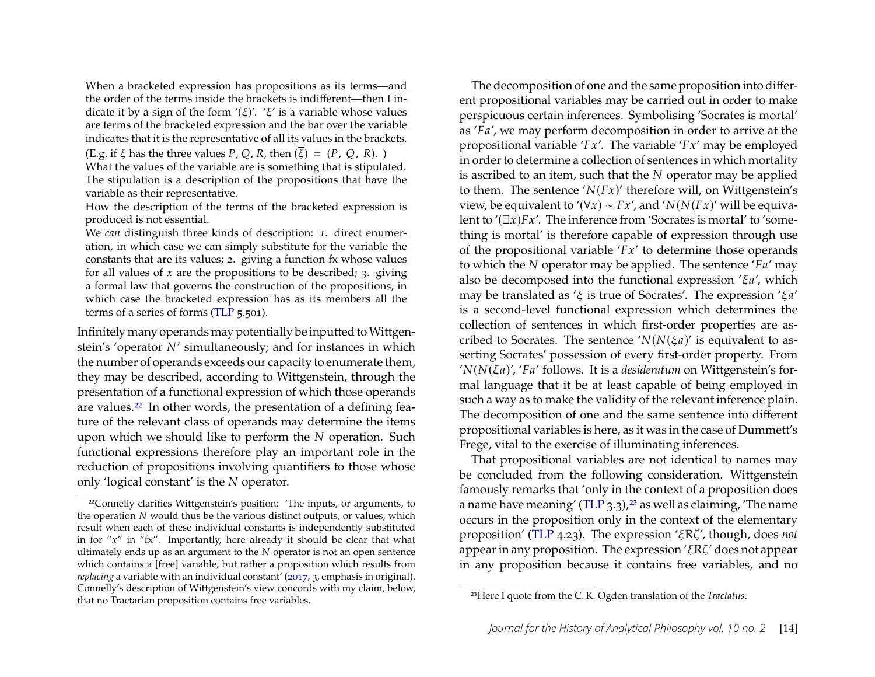When a bracketed expression has propositions as its terms—and the order of the terms inside the brackets is indifferent—then I indicate it by a sign of the form ' $(\overline{\xi})'$ . ' $\xi'$  is a variable whose values are terms of the bracketed expression and the bar over the variable indicates that it is the representative of all its values in the brackets.

(E.g. if  $\xi$  has the three values P, Q, R, then  $(\overline{\xi}) = (P, Q, R)$ .)

What the values of the variable are is something that is stipulated. The stipulation is a description of the propositions that have the variable as their representative.

How the description of the terms of the bracketed expression is produced is not essential.

We *can* distinguish three kinds of description: *1*. direct enumeration, in which case we can simply substitute for the variable the constants that are its values; *2*. giving a function fx whose values for all values of  $x$  are the propositions to be described; 3. giving a formal law that governs the construction of the propositions, in which case the bracketed expression has as its members all the terms of a series of forms [\(TLP](#page-24-8) 5.501).

Infinitely many operands may potentially be inputted to Wittgenstein's 'operator  $N'$  simultaneously; and for instances in which the number of operands exceeds our capacity to enumerate them, they may be described, according to Wittgenstein, through the presentation of a functional expression of which those operands are values.<sup>[22](#page-14-0)</sup> In other words, the presentation of a defining feature of the relevant class of operands may determine the items upon which we should like to perform the  $N$  operation. Such functional expressions therefore play an important role in the reduction of propositions involving quantifiers to those whose only 'logical constant' is the  $N$  operator.

The decomposition of one and the same proposition into different propositional variables may be carried out in order to make perspicuous certain inferences. Symbolising 'Socrates is mortal' as  $'A'$ , we may perform decomposition in order to arrive at the propositional variable ' $Fx'$ . The variable ' $Fx'$  may be employed in order to determine a collection of sentences in which mortality is ascribed to an item, such that the  $N$  operator may be applied to them. The sentence ' $N(Fx)'$  therefore will, on Wittgenstein's view, be equivalent to '( $\forall x$ ) ~  $Fx'$ , and ' $N(N(Fx)')$ ' will be equivalent to  $(\exists x)Fx'$ . The inference from 'Socrates is mortal' to 'something is mortal' is therefore capable of expression through use of the propositional variable  $'Fx'$  to determine those operands to which the  $N$  operator may be applied. The sentence ' $Fa'$  may also be decomposed into the functional expression ' $\zeta a'$ , which may be translated as ' $\xi$  is true of Socrates'. The expression ' $\xi a$ ' is a second-level functional expression which determines the collection of sentences in which first-order properties are ascribed to Socrates. The sentence ' $N(N(\xi a)$ ' is equivalent to asserting Socrates' possession of every first-order property. From ' $N(N(\xi a)$ ', 'Fa' follows. It is a *desideratum* on Wittgenstein's formal language that it be at least capable of being employed in such a way as to make the validity of the relevant inference plain. The decomposition of one and the same sentence into different propositional variables is here, as it was in the case of Dummett's Frege, vital to the exercise of illuminating inferences.

That propositional variables are not identical to names may be concluded from the following consideration. Wittgenstein famously remarks that 'only in the context of a proposition does a name have meaning' [\(TLP](#page-24-8)  $3.3$ ),<sup>[23](#page-14-1)</sup> as well as claiming, 'The name occurs in the proposition only in the context of the elementary proposition' [\(TLP](#page-24-8) 4.23). The expression ' $\zeta R\zeta'$ , though, does *not* appear in any proposition. The expression ' $\zeta R \zeta$ ' does not appear in any proposition because it contains free variables, and no

<span id="page-14-0"></span> $22$ Connelly clarifies Wittgenstein's position: 'The inputs, or arguments, to the operation  $N$  would thus be the various distinct outputs, or values, which result when each of these individual constants is independently substituted in for " $x$ " in "fx". Importantly, here already it should be clear that what ultimately ends up as an argument to the  $N$  operator is not an open sentence which contains a [free] variable, but rather a proposition which results from *replacing* a variable with an individual constant' [\(2017,](#page-22-14) 3, emphasis in original). Connelly's description of Wittgenstein's view concords with my claim, below, that no Tractarian proposition contains free variables.

<span id="page-14-1"></span><sup>23</sup>Here I quote from the C. K. Ogden translation of the *Tractatus*.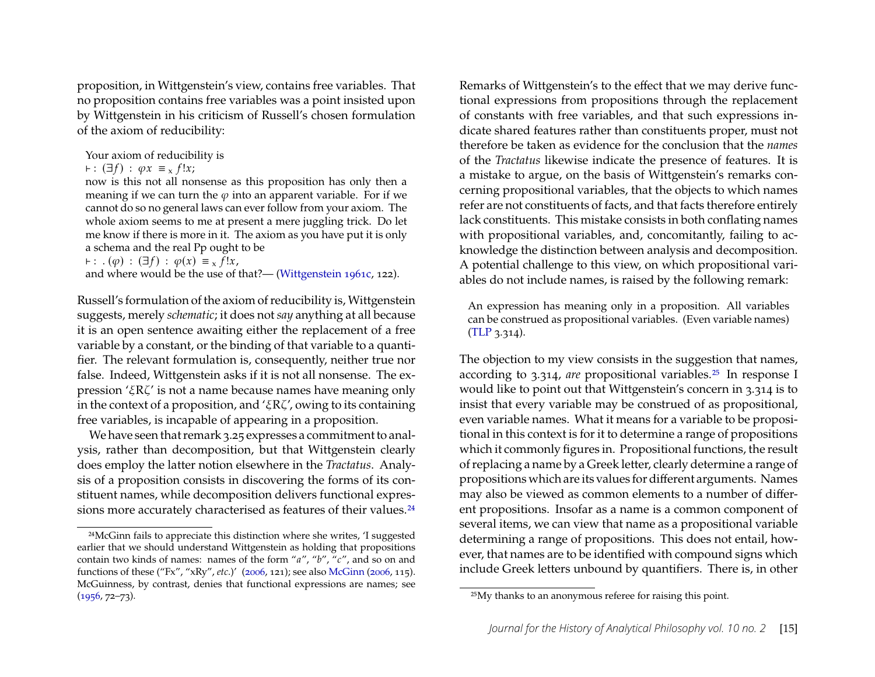proposition, in Wittgenstein's view, contains free variables. That no proposition contains free variables was a point insisted upon by Wittgenstein in his criticism of Russell's chosen formulation of the axiom of reducibility:

Your axiom of reducibility is

 $\vdash$ :  $(\exists f)$  :  $\varphi x \equiv x f!x;$ 

now is this not all nonsense as this proposition has only then a meaning if we can turn the  $\varphi$  into an apparent variable. For if we cannot do so no general laws can ever follow from your axiom. The whole axiom seems to me at present a mere juggling trick. Do let me know if there is more in it. The axiom as you have put it is only a schema and the real Pp ought to be

 $\vdash : .(\varphi) : (\exists f) : \varphi(x) \equiv_x f!x,$ 

and where would be the use of that?— [\(Wittgenstein 1961c,](#page-24-13) 122).

Russell's formulation of the axiom of reducibility is, Wittgenstein suggests, merely *schematic*; it does not *say* anything at all because it is an open sentence awaiting either the replacement of a free variable by a constant, or the binding of that variable to a quantifier. The relevant formulation is, consequently, neither true nor false. Indeed, Wittgenstein asks if it is not all nonsense. The expression ' $\zeta R\zeta$ ' is not a name because names have meaning only in the context of a proposition, and ' $\zeta R\zeta'$ , owing to its containing free variables, is incapable of appearing in a proposition.

We have seen that remark 3.25 expresses a commitment to analysis, rather than decomposition, but that Wittgenstein clearly does employ the latter notion elsewhere in the *Tractatus*. Analysis of a proposition consists in discovering the forms of its constituent names, while decomposition delivers functional expres-sions more accurately characterised as features of their values.<sup>[24](#page-15-0)</sup>

Remarks of Wittgenstein's to the effect that we may derive functional expressions from propositions through the replacement of constants with free variables, and that such expressions indicate shared features rather than constituents proper, must not therefore be taken as evidence for the conclusion that the *names* of the *Tractatus* likewise indicate the presence of features. It is a mistake to argue, on the basis of Wittgenstein's remarks concerning propositional variables, that the objects to which names refer are not constituents of facts, and that facts therefore entirely lack constituents. This mistake consists in both conflating names with propositional variables, and, concomitantly, failing to acknowledge the distinction between analysis and decomposition. A potential challenge to this view, on which propositional variables do not include names, is raised by the following remark:

An expression has meaning only in a proposition. All variables can be construed as propositional variables. (Even variable names) [\(TLP](#page-24-8) 3.314).

The objection to my view consists in the suggestion that names, according to 3.314, *are* propositional variables.[25](#page-15-1) In response I would like to point out that Wittgenstein's concern in 3.314 is to insist that every variable may be construed of as propositional, even variable names. What it means for a variable to be propositional in this context is for it to determine a range of propositions which it commonly figures in. Propositional functions, the result of replacing a name by a Greek letter, clearly determine a range of propositions which are its values for different arguments. Names may also be viewed as common elements to a number of different propositions. Insofar as a name is a common component of several items, we can view that name as a propositional variable determining a range of propositions. This does not entail, however, that names are to be identified with compound signs which include Greek letters unbound by quantifiers. There is, in other

<span id="page-15-0"></span><sup>24</sup>McGinn fails to appreciate this distinction where she writes, 'I suggested earlier that we should understand Wittgenstein as holding that propositions contain two kinds of names: names of the form "a", "b", "c", and so on and functions of these ("Fx", "xRy", etc.)' [\(2006,](#page-23-7) 121); see also [McGinn](#page-23-7) [\(2006,](#page-23-7) 115). McGuinness, by contrast, denies that functional expressions are names; see  $(1956, 72 - 73).$  $(1956, 72 - 73).$ 

<span id="page-15-1"></span><sup>25</sup>My thanks to an anonymous referee for raising this point.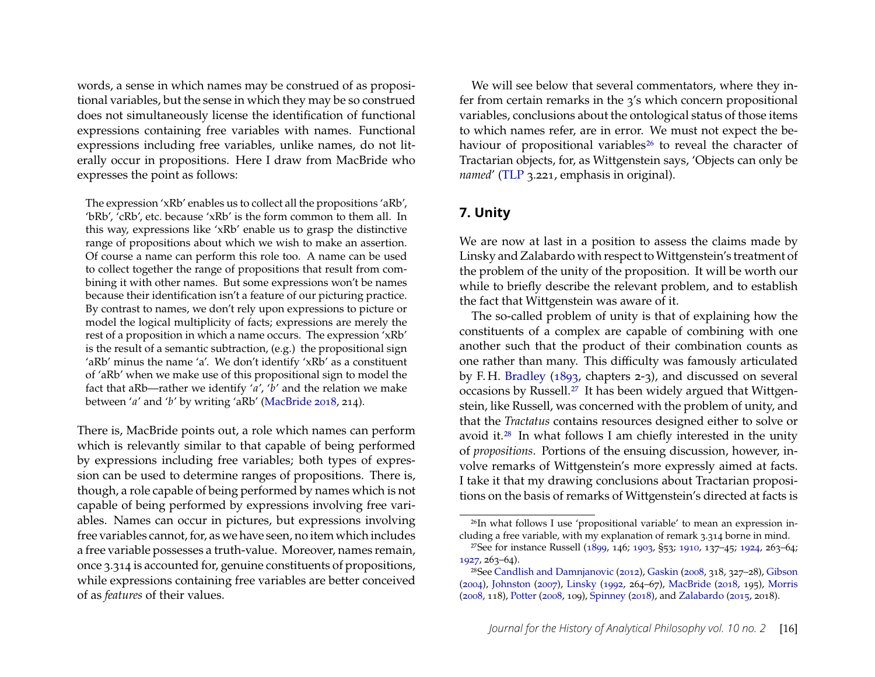words, a sense in which names may be construed of as propositional variables, but the sense in which they may be so construed does not simultaneously license the identification of functional expressions containing free variables with names. Functional expressions including free variables, unlike names, do not literally occur in propositions. Here I draw from MacBride who expresses the point as follows:

The expression 'xRb' enables us to collect all the propositions 'aRb', 'bRb', 'cRb', etc. because 'xRb' is the form common to them all. In this way, expressions like 'xRb' enable us to grasp the distinctive range of propositions about which we wish to make an assertion. Of course a name can perform this role too. A name can be used to collect together the range of propositions that result from combining it with other names. But some expressions won't be names because their identification isn't a feature of our picturing practice. By contrast to names, we don't rely upon expressions to picture or model the logical multiplicity of facts; expressions are merely the rest of a proposition in which a name occurs. The expression 'xRb' is the result of a semantic subtraction, (e.g.) the propositional sign 'aRb' minus the name 'a'. We don't identify 'xRb' as a constituent of 'aRb' when we make use of this propositional sign to model the fact that aRb—rather we identify 'a', 'b' and the relation we make between 'a' and 'b' by writing 'aRb' [\(MacBride 2018,](#page-23-6) 214).

There is, MacBride points out, a role which names can perform which is relevantly similar to that capable of being performed by expressions including free variables; both types of expression can be used to determine ranges of propositions. There is, though, a role capable of being performed by names which is not capable of being performed by expressions involving free variables. Names can occur in pictures, but expressions involving free variables cannot, for, as we have seen, no item which includes a free variable possesses a truth-value. Moreover, names remain, once 3.314 is accounted for, genuine constituents of propositions, while expressions containing free variables are better conceived of as *features* of their values.

We will see below that several commentators, where they infer from certain remarks in the 3's which concern propositional variables, conclusions about the ontological status of those items to which names refer, are in error. We must not expect the be-haviour of propositional variables<sup>[26](#page-16-0)</sup> to reveal the character of Tractarian objects, for, as Wittgenstein says, 'Objects can only be *named*' [\(TLP](#page-24-8) 3.221, emphasis in original).

#### **7. Unity**

We are now at last in a position to assess the claims made by Linsky and Zalabardo with respect to Wittgenstein's treatment of the problem of the unity of the proposition. It will be worth our while to briefly describe the relevant problem, and to establish the fact that Wittgenstein was aware of it.

The so-called problem of unity is that of explaining how the constituents of a complex are capable of combining with one another such that the product of their combination counts as one rather than many. This difficulty was famously articulated by F. H. [Bradley](#page-22-15) [\(1893,](#page-22-15) chapters 2-3), and discussed on several occasions by Russell.[27](#page-16-1) It has been widely argued that Wittgenstein, like Russell, was concerned with the problem of unity, and that the *Tractatus* contains resources designed either to solve or avoid it.<sup>[28](#page-16-2)</sup> In what follows I am chiefly interested in the unity of *propositions*. Portions of the ensuing discussion, however, involve remarks of Wittgenstein's more expressly aimed at facts. I take it that my drawing conclusions about Tractarian propositions on the basis of remarks of Wittgenstein's directed at facts is

<span id="page-16-0"></span><sup>26</sup>In what follows I use 'propositional variable' to mean an expression including a free variable, with my explanation of remark 3.314 borne in mind.

<span id="page-16-1"></span><sup>&</sup>lt;sup>27</sup>See for instance Russell [\(1899,](#page-23-9) 146; [1903,](#page-23-0) §53; [1910,](#page-23-10) 137-45; [1924,](#page-24-14) 263-64;  $1927, 263 - 64$  $1927, 263 - 64$ ).

<span id="page-16-2"></span><sup>&</sup>lt;sup>28</sup>See [Candlish and Damnjanovic](#page-22-16) [\(2012\)](#page-22-16), [Gaskin](#page-22-17) [\(2008,](#page-22-17) 318, 327–28), [Gibson](#page-22-18) [\(2004\)](#page-22-18), [Johnston](#page-22-19) [\(2007\)](#page-22-19), [Linsky](#page-22-0) [\(1992,](#page-22-0) 264–67), [MacBride](#page-23-6) [\(2018,](#page-23-6) 195), [Morris](#page-23-11) [\(2008,](#page-23-11) 118), [Potter](#page-23-12) [\(2008,](#page-23-12) 109), [Spinney](#page-24-16) [\(2018\)](#page-24-16), and [Zalabardo](#page-24-0) [\(2015,](#page-24-0) 2018).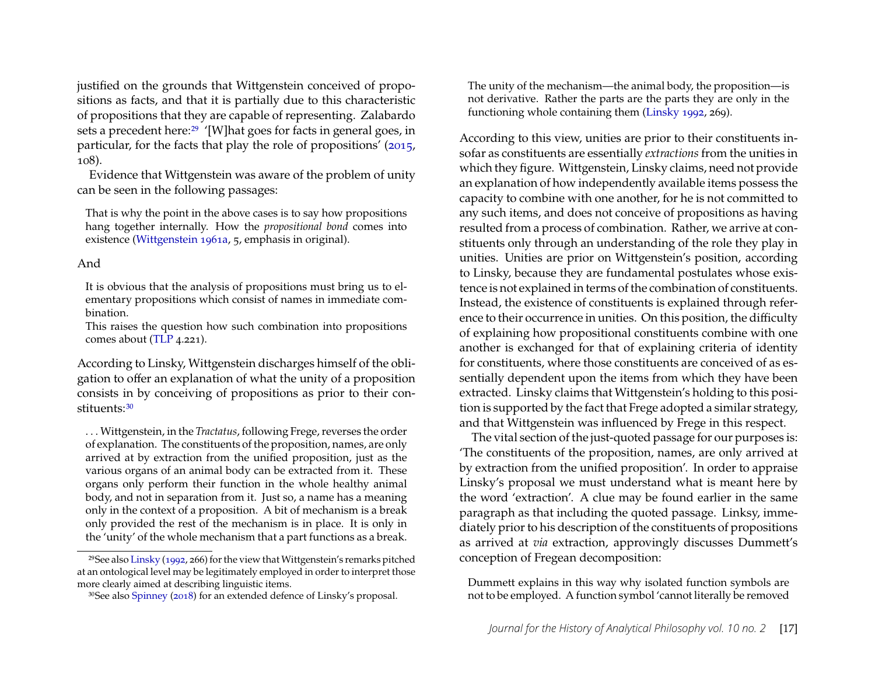justified on the grounds that Wittgenstein conceived of propositions as facts, and that it is partially due to this characteristic of propositions that they are capable of representing. Zalabardo sets a precedent here:<sup>[29](#page-17-0)</sup> '[W]hat goes for facts in general goes, in particular, for the facts that play the role of propositions' [\(2015,](#page-24-0) 108).

Evidence that Wittgenstein was aware of the problem of unity can be seen in the following passages:

That is why the point in the above cases is to say how propositions hang together internally. How the *propositional bond* comes into existence [\(Wittgenstein 1961a,](#page-24-12) 5, emphasis in original).

#### And

It is obvious that the analysis of propositions must bring us to elementary propositions which consist of names in immediate combination.

This raises the question how such combination into propositions comes about [\(TLP](#page-24-8) 4.221).

According to Linsky, Wittgenstein discharges himself of the obligation to offer an explanation of what the unity of a proposition consists in by conceiving of propositions as prior to their con-stituents: [30](#page-17-1)

. . . Wittgenstein, in the *Tractatus*, following Frege, reverses the order of explanation. The constituents of the proposition, names, are only arrived at by extraction from the unified proposition, just as the various organs of an animal body can be extracted from it. These organs only perform their function in the whole healthy animal body, and not in separation from it. Just so, a name has a meaning only in the context of a proposition. A bit of mechanism is a break only provided the rest of the mechanism is in place. It is only in the 'unity' of the whole mechanism that a part functions as a break.

The unity of the mechanism—the animal body, the proposition—is not derivative. Rather the parts are the parts they are only in the functioning whole containing them [\(Linsky 1992,](#page-22-0) 269).

According to this view, unities are prior to their constituents insofar as constituents are essentially *extractions* from the unities in which they figure. Wittgenstein, Linsky claims, need not provide an explanation of how independently available items possess the capacity to combine with one another, for he is not committed to any such items, and does not conceive of propositions as having resulted from a process of combination. Rather, we arrive at constituents only through an understanding of the role they play in unities. Unities are prior on Wittgenstein's position, according to Linsky, because they are fundamental postulates whose existence is not explained in terms of the combination of constituents. Instead, the existence of constituents is explained through reference to their occurrence in unities. On this position, the difficulty of explaining how propositional constituents combine with one another is exchanged for that of explaining criteria of identity for constituents, where those constituents are conceived of as essentially dependent upon the items from which they have been extracted. Linsky claims that Wittgenstein's holding to this position is supported by the fact that Frege adopted a similar strategy, and that Wittgenstein was influenced by Frege in this respect.

The vital section of the just-quoted passage for our purposes is: 'The constituents of the proposition, names, are only arrived at by extraction from the unified proposition'. In order to appraise Linsky's proposal we must understand what is meant here by the word 'extraction'. A clue may be found earlier in the same paragraph as that including the quoted passage. Linksy, immediately prior to his description of the constituents of propositions as arrived at *via* extraction, approvingly discusses Dummett's conception of Fregean decomposition:

Dummett explains in this way why isolated function symbols are not to be employed. A function symbol 'cannot literally be removed

<span id="page-17-0"></span><sup>29</sup>See also [Linsky](#page-22-0) [\(1992,](#page-22-0) 266) for the view that Wittgenstein's remarks pitched at an ontological level may be legitimately employed in order to interpret those more clearly aimed at describing linguistic items.

<span id="page-17-1"></span><sup>30</sup>See also [Spinney](#page-24-16) [\(2018\)](#page-24-16) for an extended defence of Linsky's proposal.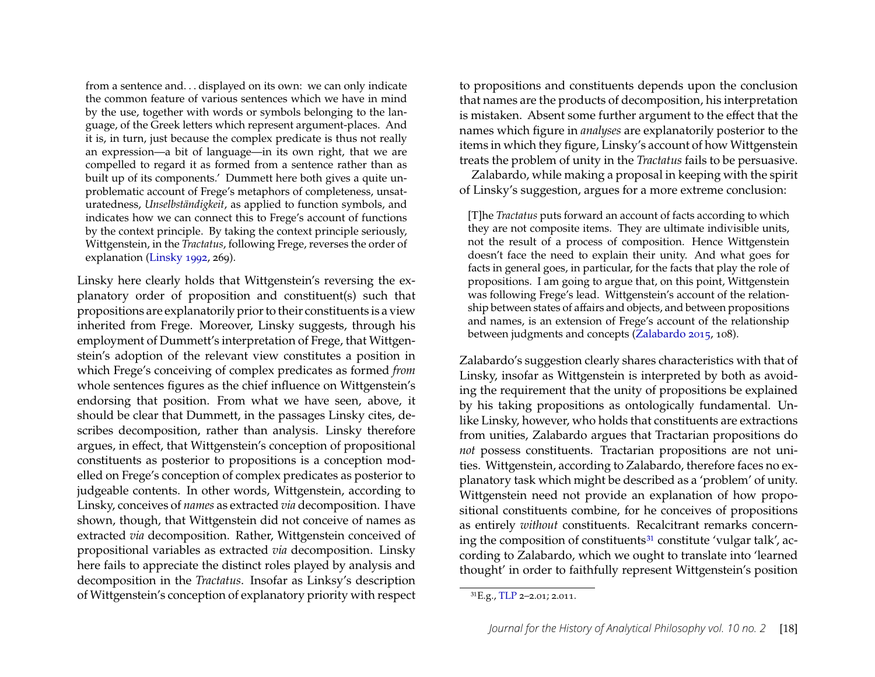from a sentence and. . . displayed on its own: we can only indicate the common feature of various sentences which we have in mind by the use, together with words or symbols belonging to the language, of the Greek letters which represent argument-places. And it is, in turn, just because the complex predicate is thus not really an expression—a bit of language—in its own right, that we are compelled to regard it as formed from a sentence rather than as built up of its components.' Dummett here both gives a quite unproblematic account of Frege's metaphors of completeness, unsaturatedness, *Unselbständigkeit*, as applied to function symbols, and indicates how we can connect this to Frege's account of functions by the context principle. By taking the context principle seriously, Wittgenstein, in the *Tractatus*, following Frege, reverses the order of explanation [\(Linsky 1992,](#page-22-0) 269).

Linsky here clearly holds that Wittgenstein's reversing the explanatory order of proposition and constituent(s) such that propositions are explanatorily prior to their constituents is a view inherited from Frege. Moreover, Linsky suggests, through his employment of Dummett's interpretation of Frege, that Wittgenstein's adoption of the relevant view constitutes a position in which Frege's conceiving of complex predicates as formed *from* whole sentences figures as the chief influence on Wittgenstein's endorsing that position. From what we have seen, above, it should be clear that Dummett, in the passages Linsky cites, describes decomposition, rather than analysis. Linsky therefore argues, in effect, that Wittgenstein's conception of propositional constituents as posterior to propositions is a conception modelled on Frege's conception of complex predicates as posterior to judgeable contents. In other words, Wittgenstein, according to Linsky, conceives of *names* as extracted *via* decomposition. I have shown, though, that Wittgenstein did not conceive of names as extracted *via* decomposition. Rather, Wittgenstein conceived of propositional variables as extracted *via* decomposition. Linsky here fails to appreciate the distinct roles played by analysis and decomposition in the *Tractatus*. Insofar as Linksy's description of Wittgenstein's conception of explanatory priority with respect to propositions and constituents depends upon the conclusion that names are the products of decomposition, his interpretation is mistaken. Absent some further argument to the effect that the names which figure in *analyses* are explanatorily posterior to the items in which they figure, Linsky's account of how Wittgenstein treats the problem of unity in the *Tractatus* fails to be persuasive.

Zalabardo, while making a proposal in keeping with the spirit of Linsky's suggestion, argues for a more extreme conclusion:

[T]he *Tractatus* puts forward an account of facts according to which they are not composite items. They are ultimate indivisible units, not the result of a process of composition. Hence Wittgenstein doesn't face the need to explain their unity. And what goes for facts in general goes, in particular, for the facts that play the role of propositions. I am going to argue that, on this point, Wittgenstein was following Frege's lead. Wittgenstein's account of the relationship between states of affairs and objects, and between propositions and names, is an extension of Frege's account of the relationship between judgments and concepts [\(Zalabardo 2015,](#page-24-0) 108).

Zalabardo's suggestion clearly shares characteristics with that of Linsky, insofar as Wittgenstein is interpreted by both as avoiding the requirement that the unity of propositions be explained by his taking propositions as ontologically fundamental. Unlike Linsky, however, who holds that constituents are extractions from unities, Zalabardo argues that Tractarian propositions do *not* possess constituents. Tractarian propositions are not unities. Wittgenstein, according to Zalabardo, therefore faces no explanatory task which might be described as a 'problem' of unity. Wittgenstein need not provide an explanation of how propositional constituents combine, for he conceives of propositions as entirely *without* constituents. Recalcitrant remarks concern-ing the composition of constituents<sup>[31](#page-18-0)</sup> constitute 'vulgar talk', according to Zalabardo, which we ought to translate into 'learned thought' in order to faithfully represent Wittgenstein's position

<span id="page-18-0"></span> ${}^{31}E.g., TLP 2-2.01; 2.011.$  ${}^{31}E.g., TLP 2-2.01; 2.011.$  ${}^{31}E.g., TLP 2-2.01; 2.011.$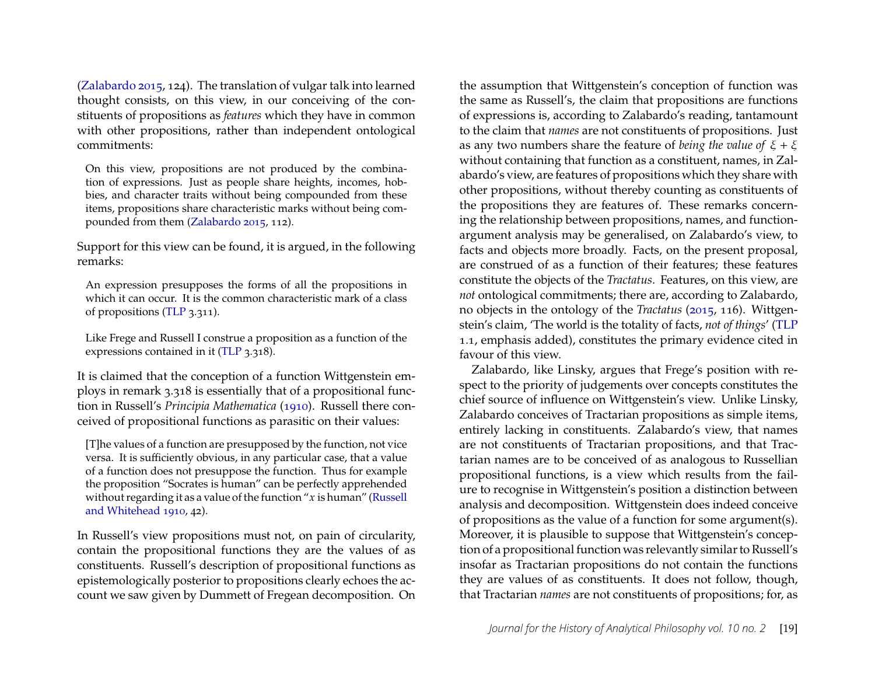[\(Zalabardo 2015,](#page-24-0) 124). The translation of vulgar talk into learned thought consists, on this view, in our conceiving of the constituents of propositions as *features* which they have in common with other propositions, rather than independent ontological commitments:

On this view, propositions are not produced by the combination of expressions. Just as people share heights, incomes, hobbies, and character traits without being compounded from these items, propositions share characteristic marks without being compounded from them [\(Zalabardo 2015,](#page-24-0) 112).

Support for this view can be found, it is argued, in the following remarks:

An expression presupposes the forms of all the propositions in which it can occur. It is the common characteristic mark of a class of propositions [\(TLP](#page-24-8) 3.311).

Like Frege and Russell I construe a proposition as a function of the expressions contained in it [\(TLP](#page-24-8) 3.318).

It is claimed that the conception of a function Wittgenstein employs in remark 3.318 is essentially that of a propositional function in Russell's *Principia Mathematica* [\(1910\)](#page-23-10). Russell there conceived of propositional functions as parasitic on their values:

[T]he values of a function are presupposed by the function, not vice versa. It is sufficiently obvious, in any particular case, that a value of a function does not presuppose the function. Thus for example the proposition "Socrates is human" can be perfectly apprehended without regarding it as a value of the function " $x$  is human" [\(Russell](#page-23-10) [and Whitehead 1910,](#page-23-10) 42).

In Russell's view propositions must not, on pain of circularity, contain the propositional functions they are the values of as constituents. Russell's description of propositional functions as epistemologically posterior to propositions clearly echoes the account we saw given by Dummett of Fregean decomposition. On

the assumption that Wittgenstein's conception of function was the same as Russell's, the claim that propositions are functions of expressions is, according to Zalabardo's reading, tantamount to the claim that *names* are not constituents of propositions. Just as any two numbers share the feature of *being the value of*  $\xi + \xi$ without containing that function as a constituent, names, in Zalabardo's view, are features of propositions which they share with other propositions, without thereby counting as constituents of the propositions they are features of. These remarks concerning the relationship between propositions, names, and functionargument analysis may be generalised, on Zalabardo's view, to facts and objects more broadly. Facts, on the present proposal, are construed of as a function of their features; these features constitute the objects of the *Tractatus*. Features, on this view, are *not* ontological commitments; there are, according to Zalabardo, no objects in the ontology of the *Tractatus* [\(2015,](#page-24-0) 116). Wittgenstein's claim, 'The world is the totality of facts, *not of things*' [\(TLP](#page-24-8) 1.1, emphasis added), constitutes the primary evidence cited in favour of this view.

Zalabardo, like Linsky, argues that Frege's position with respect to the priority of judgements over concepts constitutes the chief source of influence on Wittgenstein's view. Unlike Linsky, Zalabardo conceives of Tractarian propositions as simple items, entirely lacking in constituents. Zalabardo's view, that names are not constituents of Tractarian propositions, and that Tractarian names are to be conceived of as analogous to Russellian propositional functions, is a view which results from the failure to recognise in Wittgenstein's position a distinction between analysis and decomposition. Wittgenstein does indeed conceive of propositions as the value of a function for some argument(s). Moreover, it is plausible to suppose that Wittgenstein's conception of a propositional function was relevantly similar to Russell's insofar as Tractarian propositions do not contain the functions they are values of as constituents. It does not follow, though, that Tractarian *names* are not constituents of propositions; for, as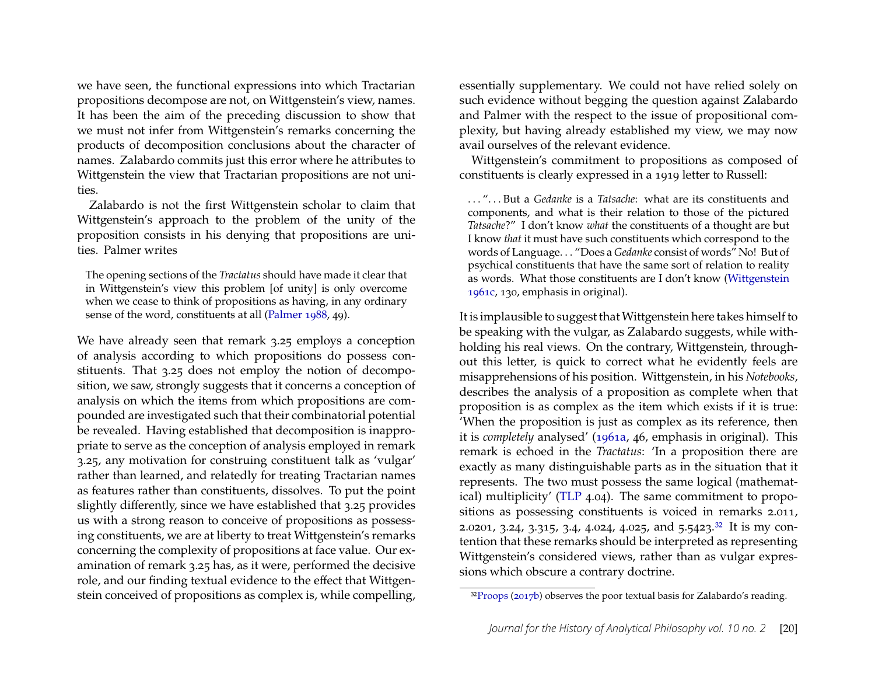we have seen, the functional expressions into which Tractarian propositions decompose are not, on Wittgenstein's view, names. It has been the aim of the preceding discussion to show that we must not infer from Wittgenstein's remarks concerning the products of decomposition conclusions about the character of names. Zalabardo commits just this error where he attributes to Wittgenstein the view that Tractarian propositions are not unities.

Zalabardo is not the first Wittgenstein scholar to claim that Wittgenstein's approach to the problem of the unity of the proposition consists in his denying that propositions are unities. Palmer writes

The opening sections of the *Tractatus* should have made it clear that in Wittgenstein's view this problem [of unity] is only overcome when we cease to think of propositions as having, in any ordinary sense of the word, constituents at all [\(Palmer 1988,](#page-23-13) 49).

We have already seen that remark 3.25 employs a conception of analysis according to which propositions do possess constituents. That 3.25 does not employ the notion of decomposition, we saw, strongly suggests that it concerns a conception of analysis on which the items from which propositions are compounded are investigated such that their combinatorial potential be revealed. Having established that decomposition is inappropriate to serve as the conception of analysis employed in remark 3.25, any motivation for construing constituent talk as 'vulgar' rather than learned, and relatedly for treating Tractarian names as features rather than constituents, dissolves. To put the point slightly differently, since we have established that 3.25 provides us with a strong reason to conceive of propositions as possessing constituents, we are at liberty to treat Wittgenstein's remarks concerning the complexity of propositions at face value. Our examination of remark 3.25 has, as it were, performed the decisive role, and our finding textual evidence to the effect that Wittgenstein conceived of propositions as complex is, while compelling, essentially supplementary. We could not have relied solely on such evidence without begging the question against Zalabardo and Palmer with the respect to the issue of propositional complexity, but having already established my view, we may now avail ourselves of the relevant evidence.

Wittgenstein's commitment to propositions as composed of constituents is clearly expressed in a 1919 letter to Russell:

... "... But a *Gedanke* is a *Tatsache*: what are its constituents and components, and what is their relation to those of the pictured *Tatsache?"* I don't know *what* the constituents of a thought are but I know *that* it must have such constituents which correspond to the words of Language. . . "Does a *Gedanke* consist of words" No! But of psychical constituents that have the same sort of relation to reality as words. What those constituents are I don't know [\(Wittgenstein](#page-24-13) [1961c,](#page-24-13) 130, emphasis in original).

It is implausible to suggest thatWittgenstein here takes himself to be speaking with the vulgar, as Zalabardo suggests, while withholding his real views. On the contrary, Wittgenstein, throughout this letter, is quick to correct what he evidently feels are misapprehensions of his position. Wittgenstein, in his *Notebooks*, describes the analysis of a proposition as complete when that proposition is as complex as the item which exists if it is true: 'When the proposition is just as complex as its reference, then it is *completely* analysed' [\(1961a,](#page-24-12) 46, emphasis in original). This remark is echoed in the *Tractatus*: 'In a proposition there are exactly as many distinguishable parts as in the situation that it represents. The two must possess the same logical (mathematical) multiplicity' [\(TLP](#page-24-8) 4.04). The same commitment to propositions as possessing constituents is voiced in remarks 2.011, 2.0201, 3.24, 3.315, 3.4, 4.024, 4.025, and 5.5423.<sup>[32](#page-20-0)</sup> It is my contention that these remarks should be interpreted as representing Wittgenstein's considered views, rather than as vulgar expressions which obscure a contrary doctrine.

<span id="page-20-0"></span><sup>&</sup>lt;sup>32</sup>[Proops](#page-23-14) [\(2017b\)](#page-23-14) observes the poor textual basis for Zalabardo's reading.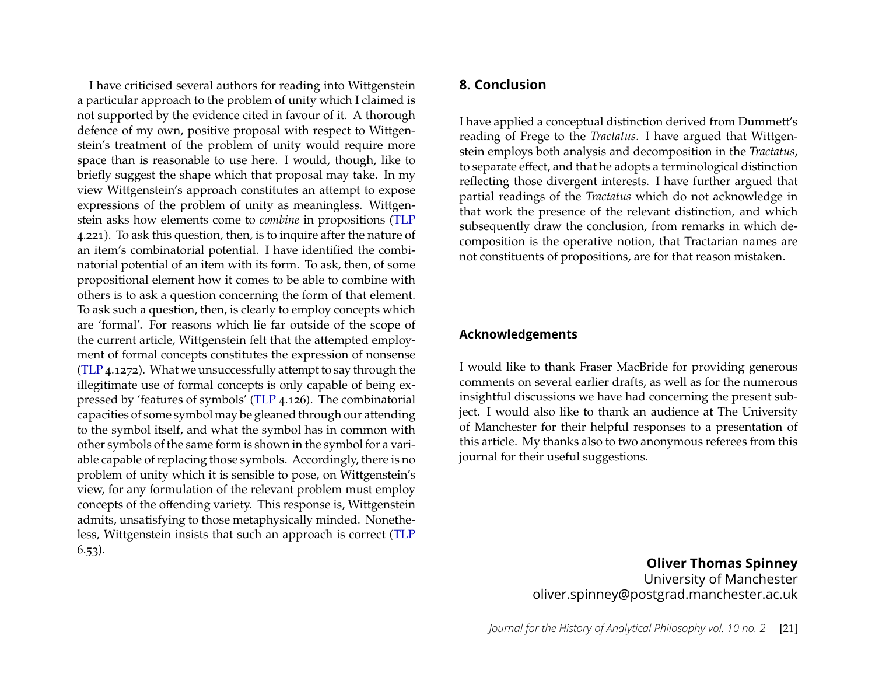I have criticised several authors for reading into Wittgenstein a particular approach to the problem of unity which I claimed is not supported by the evidence cited in favour of it. A thorough defence of my own, positive proposal with respect to Wittgenstein's treatment of the problem of unity would require more space than is reasonable to use here. I would, though, like to briefly suggest the shape which that proposal may take. In my view Wittgenstein's approach constitutes an attempt to expose expressions of the problem of unity as meaningless. Wittgenstein asks how elements come to *combine* in propositions [\(TLP](#page-24-8) 4.221). To ask this question, then, is to inquire after the nature of an item's combinatorial potential. I have identified the combinatorial potential of an item with its form. To ask, then, of some propositional element how it comes to be able to combine with others is to ask a question concerning the form of that element. To ask such a question, then, is clearly to employ concepts which are 'formal'. For reasons which lie far outside of the scope of the current article, Wittgenstein felt that the attempted employment of formal concepts constitutes the expression of nonsense [\(TLP](#page-24-8) 4.1272). What we unsuccessfully attempt to say through the illegitimate use of formal concepts is only capable of being expressed by 'features of symbols' [\(TLP](#page-24-8) 4.126). The combinatorial capacities of some symbol may be gleaned through our attending to the symbol itself, and what the symbol has in common with other symbols of the same form is shown in the symbol for a variable capable of replacing those symbols. Accordingly, there is no problem of unity which it is sensible to pose, on Wittgenstein's view, for any formulation of the relevant problem must employ concepts of the offending variety. This response is, Wittgenstein admits, unsatisfying to those metaphysically minded. Nonetheless, Wittgenstein insists that such an approach is correct [\(TLP](#page-24-8) 6.53).

#### **8. Conclusion**

I have applied a conceptual distinction derived from Dummett's reading of Frege to the *Tractatus*. I have argued that Wittgenstein employs both analysis and decomposition in the *Tractatus*, to separate effect, and that he adopts a terminological distinction reflecting those divergent interests. I have further argued that partial readings of the *Tractatus* which do not acknowledge in that work the presence of the relevant distinction, and which subsequently draw the conclusion, from remarks in which decomposition is the operative notion, that Tractarian names are not constituents of propositions, are for that reason mistaken.

#### **Acknowledgements**

I would like to thank Fraser MacBride for providing generous comments on several earlier drafts, as well as for the numerous insightful discussions we have had concerning the present subject. I would also like to thank an audience at The University of Manchester for their helpful responses to a presentation of this article. My thanks also to two anonymous referees from this journal for their useful suggestions.

> **Oliver Thomas Spinney** University of Manchester oliver.spinney@postgrad.manchester.ac.uk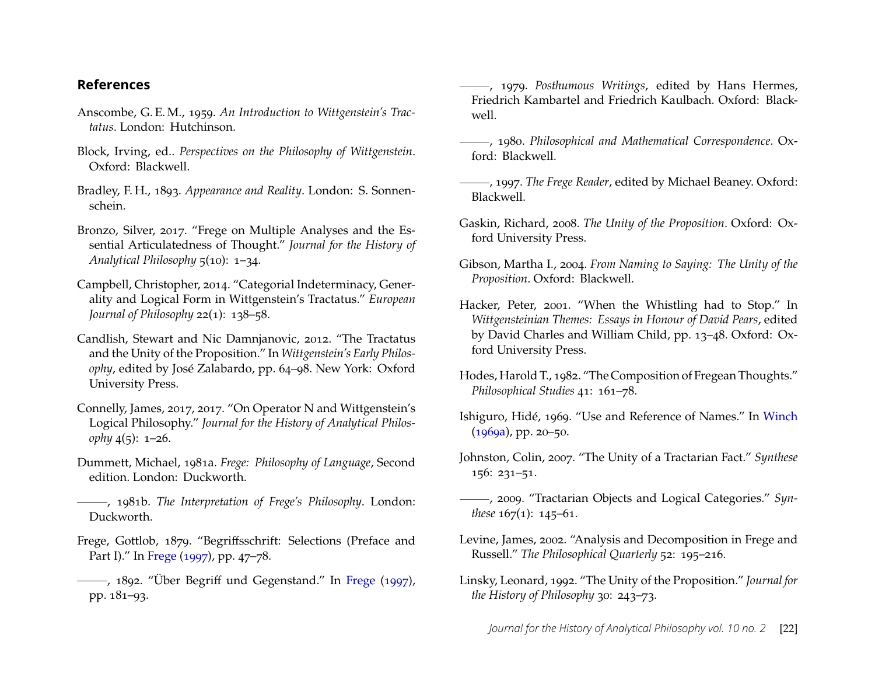#### **References**

- <span id="page-22-10"></span>Anscombe, G. E. M., 1959. *An Introduction to Wittgenstein's Tractatus*. London: Hutchinson.
- Block, Irving, ed.. *Perspectives on the Philosophy of Wittgenstein*. Oxford: Blackwell.
- <span id="page-22-15"></span>Bradley, F. H., 1893. *Appearance and Reality*. London: S. Sonnenschein.
- <span id="page-22-3"></span>Bronzo, Silver, 2017. "Frege on Multiple Analyses and the Essential Articulatedness of Thought." *Journal for the History of Analytical Philosophy*  $5(10)$ : 1-34.
- <span id="page-22-13"></span>Campbell, Christopher, 2014. "Categorial Indeterminacy, Generality and Logical Form in Wittgenstein's Tractatus." European *Journal of Philosophy* 22(1): 138-58.
- <span id="page-22-16"></span>Candlish, Stewart and Nic Damnjanovic, 2012. "The Tractatus and the Unity of the Proposition." In Wittgenstein's Early Philos*ophy*, edited by José Zalabardo, pp. 64-98. New York: Oxford University Press.
- <span id="page-22-14"></span>Connelly, James, 2017, 2017. "On Operator N and Wittgenstein's Logical Philosophy." Journal for the History of Analytical Philos*ophy*  $4(5)$ :  $1-26$ .
- <span id="page-22-1"></span>Dummett, Michael, 1981a. *Frege: Philosophy of Language*, Second edition. London: Duckworth.
- <span id="page-22-2"></span>, 1981b. *The Interpretation of Frege's Philosophy*. London: Duckworth.
- <span id="page-22-7"></span>Frege, Gottlob, 1879. "Begriffsschrift: Selections (Preface and Part I)." In [Frege](#page-22-20)  $(1997)$ , pp. 47–78.
- <span id="page-22-8"></span>-, 1892. "Über Begriff und Gegenstand." In [Frege](#page-22-20) [\(1997\)](#page-22-20), pp. 181-93.
- <span id="page-22-5"></span>, 1979. *Posthumous Writings*, edited by Hans Hermes, Friedrich Kambartel and Friedrich Kaulbach. Oxford: Blackwell.
- <span id="page-22-6"></span>, 1980. *Philosophical and Mathematical Correspondence*. Oxford: Blackwell.
- <span id="page-22-20"></span>, 1997. *The Frege Reader*, edited by Michael Beaney. Oxford: Blackwell.
- <span id="page-22-17"></span>Gaskin, Richard, 2008. *The Unity of the Proposition*. Oxford: Oxford University Press.
- <span id="page-22-18"></span>Gibson, Martha I., 2004. *From Naming to Saying: The Unity of the Proposition*. Oxford: Blackwell.
- Hacker, Peter, 2001. "When the Whistling had to Stop." In *Wittgensteinian Themes: Essays in Honour of David Pears*, edited by David Charles and William Child, pp. 13-48. Oxford: Oxford University Press.
- <span id="page-22-9"></span>Hodes, Harold T., 1982. "The Composition of Fregean Thoughts." *Philosophical Studies* 41: 161-78.
- <span id="page-22-11"></span>Ishiguro, Hidé, 1969. "Use and Reference of Names." In [Winch](#page-24-17)  $(1969a)$ , pp. 20–50.
- <span id="page-22-19"></span>Johnston, Colin, 2007. "The Unity of a Tractarian Fact." Synthese  $156: 231 - 51.$
- <span id="page-22-12"></span>- 2009. "Tractarian Objects and Logical Categories." Syn*these*  $167(1)$ :  $145-61$ .
- <span id="page-22-4"></span>Levine, James, 2002. "Analysis and Decomposition in Frege and Russell." The Philosophical Quarterly 52: 195-216.
- <span id="page-22-0"></span>Linsky, Leonard, 1992. "The Unity of the Proposition." *Journal for the History of Philosophy* 30: 243-73.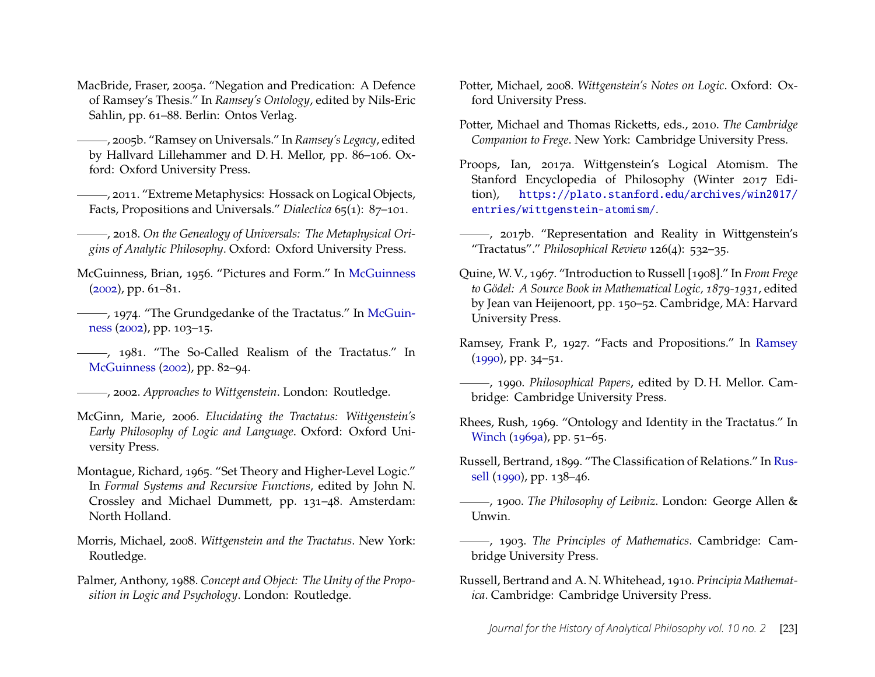- <span id="page-23-3"></span>MacBride, Fraser, 2005a. "Negation and Predication: A Defence of Ramsey's Thesis.ž In *Ramsey's Ontology*, edited by Nils-Eric Sahlin, pp. 61-88. Berlin: Ontos Verlag.
- $-$ , 2005b. "Ramsey on Universals." In *Ramsey's Legacy*, edited by Hallvard Lillehammer and D.H. Mellor, pp. 86-106. Oxford: Oxford University Press.
- <sup>-</sup>, 2011. "Extreme Metaphysics: Hossack on Logical Objects, Facts, Propositions and Universals.<sup>7</sup> Dialectica 65(1): 87-101.
- <span id="page-23-6"></span>, 2018. *On the Genealogy of Universals: The Metaphysical Origins of Analytic Philosophy*. Oxford: Oxford University Press.
- <span id="page-23-8"></span>[McGuinness](#page-23-15), Brian, 1956. "Pictures and Form." In McGuinness  $(2002)$ , pp. 61–81.
- , 1974. "The Grundgedanke of the Tractatus." In [McGuin](#page-23-15) $ness (2002)$  $ness (2002)$  $ness (2002)$ , pp. 103–15.
- -, 1981. "The So-Called Realism of the Tractatus." In [McGuinness](#page-23-15) [\(2002\)](#page-23-15), pp. 82-94.
- <span id="page-23-15"></span>, 2002. *Approaches to Wittgenstein*. London: Routledge.
- <span id="page-23-7"></span>McGinn, Marie, 2006. *Elucidating the Tractatus: Wittgenstein's Early Philosophy of Logic and Language*. Oxford: Oxford University Press.
- <span id="page-23-4"></span>Montague, Richard, 1965. "Set Theory and Higher-Level Logic." In *Formal Systems and Recursive Functions*, edited by John N. Crossley and Michael Dummett, pp. 131-48. Amsterdam: North Holland.
- <span id="page-23-11"></span>Morris, Michael, 2008. *Wittgenstein and the Tractatus*. New York: Routledge.
- <span id="page-23-13"></span>Palmer, Anthony, 1988. *Concept and Object: The Unity of the Proposition in Logic and Psychology*. London: Routledge.
- <span id="page-23-12"></span>Potter, Michael, 2008. *Wittgenstein's Notes on Logic*. Oxford: Oxford University Press.
- <span id="page-23-17"></span>Potter, Michael and Thomas Ricketts, eds., 2010. *The Cambridge Companion to Frege*. New York: Cambridge University Press.
- <span id="page-23-5"></span>Proops, Ian, 2017a. Wittgenstein's Logical Atomism. The Stanford Encyclopedia of Philosophy (Winter 2017 Edition), [https://plato.stanford.edu/archives/win2017/](https://plato.stanford.edu/archives/win2017/entries/wittgenstein-atomism/) [entries/wittgenstein-atomism/](https://plato.stanford.edu/archives/win2017/entries/wittgenstein-atomism/).
- <span id="page-23-14"></span>-, 2017b. "Representation and Reality in Wittgenstein's "Tractatus"." Philosophical Review 126(4): 532-35.
- <span id="page-23-2"></span>Quine, W. V., 1967. "Introduction to Russell [1908]." In *From Frege to Gödel: A Source Book in Mathematical Logic, 1879-1931*, edited by Jean van Heijenoort, pp. 150-52. Cambridge, MA: Harvard University Press.
- [Ramsey](#page-23-16), Frank P., 1927. "Facts and Propositions." In Ramsey  $(1990)$ , pp. 34–51.
- <span id="page-23-16"></span>, 1990. *Philosophical Papers*, edited by D. H. Mellor. Cambridge: Cambridge University Press.
- Rhees, Rush, 1969. "Ontology and Identity in the Tractatus." In [Winch](#page-24-17)  $(1969a)$ , pp.  $51-65$ .
- <span id="page-23-9"></span>Russell, Bertrand, 1899. "The Classification of Relations." In [Rus](#page-24-18)[sell](#page-24-18) [\(1990\)](#page-24-18), pp. 138-46.
- <span id="page-23-1"></span>, 1900. *The Philosophy of Leibniz*. London: George Allen & Unwin.
- <span id="page-23-0"></span>, 1903. *The Principles of Mathematics*. Cambridge: Cambridge University Press.
- <span id="page-23-10"></span>Russell, Bertrand and A. N. Whitehead, 1910. *Principia Mathematica*. Cambridge: Cambridge University Press.